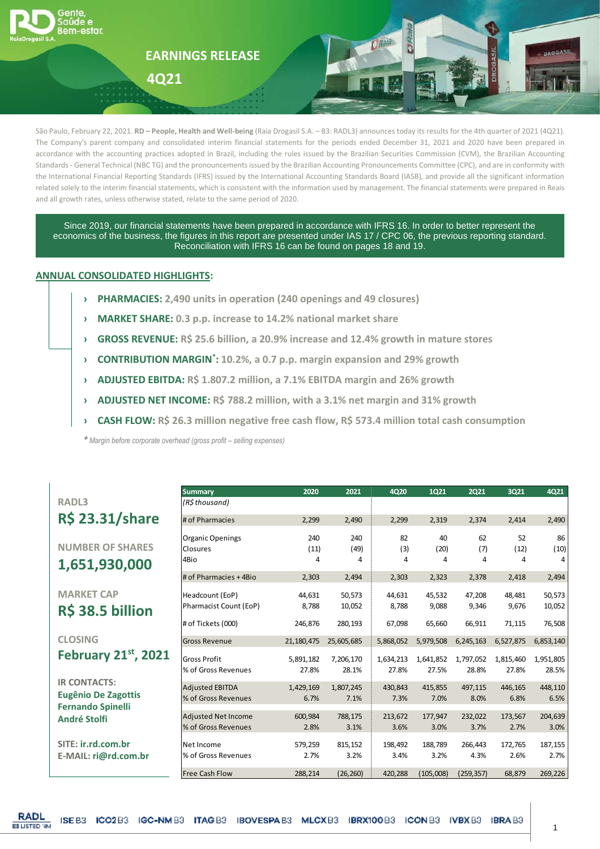

São Paulo, February 22, 2021. **RD – People, Health and Well-being** (Raia Drogasil S.A. – B3: RADL3) announces today its results for the 4th quarter of 2021 (4Q21). The Company's parent company and consolidated interim financial statements for the periods ended December 31, 2021 and 2020 have been prepared in accordance with the accounting practices adopted in Brazil, including the rules issued by the Brazilian Securities Commission (CVM), the Brazilian Accounting Standards - General Technical (NBC TG) and the pronouncements issued by the Brazilian Accounting Pronouncements Committee (CPC), and are in conformity with the International Financial Reporting Standards (IFRS) issued by the International Accounting Standards Board (IASB), and provide all the significant information related solely to the interim financial statements, which is consistent with the information used by management. The financial statements were prepared in Reais and all growth rates, unless otherwise stated, relate to the same period of 2020.

Since 2019, our financial statements have been prepared in accordance with IFRS 16. In order to better represent the economics of the business, the figures in this report are presented under IAS 17 / CPC 06, the previous reporting standard. Reconciliation with IFRS 16 can be found on pages 18 and 19.

## **ANNUAL CONSOLIDATED HIGHLIGHTS:**

- **› PHARMACIES: 2,490 units in operation (240 openings and 49 closures)**
- **› MARKET SHARE: 0.3 p.p. increase to 14.2% national market share**
- **› GROSS REVENUE: R\$ 25.6 billion, a 20.9% increase and 12.4% growth in mature stores**
- **› CONTRIBUTION MARGIN\* : 10.2%, a 0.7 p.p. margin expansion and 29% growth**
- **› ADJUSTED EBITDA: R\$ 1.807.2 million, a 7.1% EBITDA margin and 26% growth**
- **› ADJUSTED NET INCOME: R\$ 788.2 million, with a 3.1% net margin and 31% growth**
- **› CASH FLOW: R\$ 26.3 million negative free cash flow, R\$ 573.4 million total cash consumption**

*\* Margin before corporate overhead (gross profit – selling expenses)*

**RADL3 R\$ 23.31/share**

**NUMBER OF SHARES 1,651,930,000**

**MARKET CAP R\$ 38.5 billion**

**CLOSING February** 21st, 20

**IR CONTACTS: Eugênio De Zagottis Fernando Spinelli André Stolfi**

**SITE: ir.rd.com.br E-MAIL: ri@rd.com.br**

| <b>Summary</b>             | 2020       | 2021       | 4Q20      | <b>1Q21</b> | <b>2Q21</b> | <b>3Q21</b> | 4Q21      |
|----------------------------|------------|------------|-----------|-------------|-------------|-------------|-----------|
| (R\$ thousand)             |            |            |           |             |             |             |           |
| # of Pharmacies            | 2,299      | 2,490      | 2,299     | 2,319       | 2,374       | 2,414       | 2,490     |
| <b>Organic Openings</b>    | 240        | 240        | 82        | 40          | 62          | 52          | 86        |
| Closures                   | (11)       | (49)       | (3)       | (20)        | (7)         | (12)        | (10)      |
| 4Bio                       | 4          | 4          | 4         | 4           | 4           | 4           | 4         |
| # of Pharmacies + 4Bio     | 2,303      | 2,494      | 2,303     | 2,323       | 2,378       | 2,418       | 2,494     |
| Headcount (EoP)            | 44,631     | 50,573     | 44,631    | 45,532      | 47,208      | 48,481      | 50,573    |
| Pharmacist Count (EoP)     | 8,788      | 10,052     | 8,788     | 9,088       | 9,346       | 9,676       | 10,052    |
| # of Tickets (000)         | 246,876    | 280,193    | 67,098    | 65,660      | 66,911      | 71,115      | 76,508    |
| <b>Gross Revenue</b>       | 21,180,475 | 25,605,685 | 5,868,052 | 5,979,508   | 6,245,163   | 6,527,875   | 6,853,140 |
| <b>Gross Profit</b>        | 5,891,182  | 7,206,170  | 1,634,213 | 1,641,852   | 1,797,052   | 1,815,460   | 1,951,805 |
| % of Gross Revenues        | 27.8%      | 28.1%      | 27.8%     | 27.5%       | 28.8%       | 27.8%       | 28.5%     |
| <b>Adjusted EBITDA</b>     | 1,429,169  | 1,807,245  | 430.843   | 415,855     | 497.115     | 446.165     | 448,110   |
| % of Gross Revenues        | 6.7%       | 7.1%       | 7.3%      | 7.0%        | 8.0%        | 6.8%        | 6.5%      |
| <b>Adjusted Net Income</b> | 600,984    | 788,175    | 213,672   | 177,947     | 232,022     | 173,567     | 204,639   |
| % of Gross Revenues        | 2.8%       | 3.1%       | 3.6%      | 3.0%        | 3.7%        | 2.7%        | 3.0%      |
| Net Income                 | 579,259    | 815,152    | 198,492   | 188,789     | 266.443     | 172,765     | 187,155   |
| % of Gross Revenues        | 2.7%       | 3.2%       | 3.4%      | 3.2%        | 4.3%        | 2.6%        | 2.7%      |
| <b>Free Cash Flow</b>      | 288,214    | (26, 260)  | 420,288   | (105,008)   | (259, 357)  | 68,879      | 269,226   |

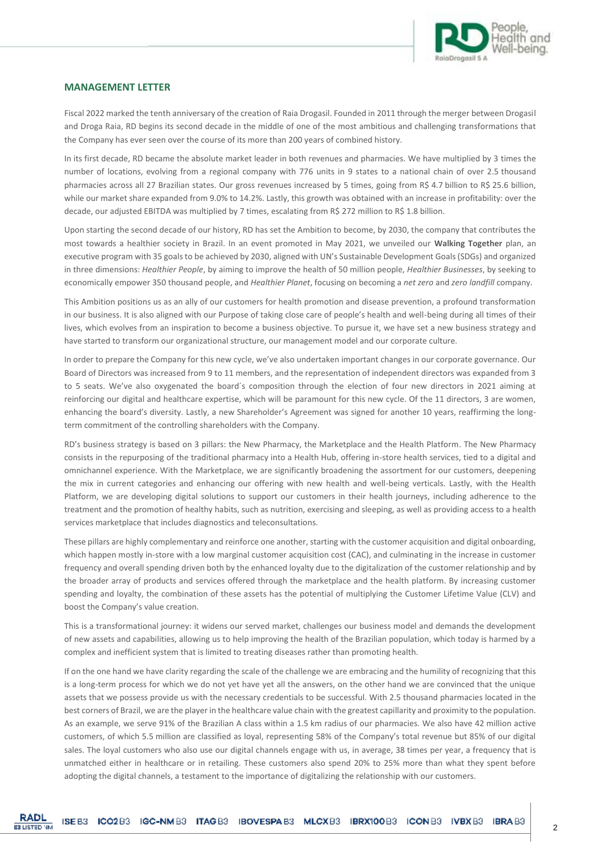

#### **MANAGEMENT LETTER**

Fiscal 2022 marked the tenth anniversary of the creation of Raia Drogasil. Founded in 2011 through the merger between Drogasil and Droga Raia, RD begins its second decade in the middle of one of the most ambitious and challenging transformations that the Company has ever seen over the course of its more than 200 years of combined history.

In its first decade, RD became the absolute market leader in both revenues and pharmacies. We have multiplied by 3 times the number of locations, evolving from a regional company with 776 units in 9 states to a national chain of over 2.5 thousand pharmacies across all 27 Brazilian states. Our gross revenues increased by 5 times, going from R\$ 4.7 billion to R\$ 25.6 billion, while our market share expanded from 9.0% to 14.2%. Lastly, this growth was obtained with an increase in profitability: over the decade, our adjusted EBITDA was multiplied by 7 times, escalating from R\$ 272 million to R\$ 1.8 billion.

Upon starting the second decade of our history, RD has set the Ambition to become, by 2030, the company that contributes the most towards a healthier society in Brazil. In an event promoted in May 2021, we unveiled our **Walking Together** plan, an executive program with 35 goals to be achieved by 2030, aligned with UN's Sustainable Development Goals (SDGs) and organized in three dimensions: *Healthier People*, by aiming to improve the health of 50 million people, *Healthier Businesses*, by seeking to economically empower 350 thousand people, and *Healthier Planet*, focusing on becoming a *net zero* and *zero landfill* company.

This Ambition positions us as an ally of our customers for health promotion and disease prevention, a profound transformation in our business. It is also aligned with our Purpose of taking close care of people's health and well-being during all times of their lives, which evolves from an inspiration to become a business objective. To pursue it, we have set a new business strategy and have started to transform our organizational structure, our management model and our corporate culture.

In order to prepare the Company for this new cycle, we've also undertaken important changes in our corporate governance. Our Board of Directors was increased from 9 to 11 members, and the representation of independent directors was expanded from 3 to 5 seats. We've also oxygenated the board´s composition through the election of four new directors in 2021 aiming at reinforcing our digital and healthcare expertise, which will be paramount for this new cycle. Of the 11 directors, 3 are women, enhancing the board's diversity. Lastly, a new Shareholder's Agreement was signed for another 10 years, reaffirming the longterm commitment of the controlling shareholders with the Company.

RD's business strategy is based on 3 pillars: the New Pharmacy, the Marketplace and the Health Platform. The New Pharmacy consists in the repurposing of the traditional pharmacy into a Health Hub, offering in-store health services, tied to a digital and omnichannel experience. With the Marketplace, we are significantly broadening the assortment for our customers, deepening the mix in current categories and enhancing our offering with new health and well-being verticals. Lastly, with the Health Platform, we are developing digital solutions to support our customers in their health journeys, including adherence to the treatment and the promotion of healthy habits, such as nutrition, exercising and sleeping, as well as providing access to a health services marketplace that includes diagnostics and teleconsultations.

These pillars are highly complementary and reinforce one another, starting with the customer acquisition and digital onboarding, which happen mostly in-store with a low marginal customer acquisition cost (CAC), and culminating in the increase in customer frequency and overall spending driven both by the enhanced loyalty due to the digitalization of the customer relationship and by the broader array of products and services offered through the marketplace and the health platform. By increasing customer spending and loyalty, the combination of these assets has the potential of multiplying the Customer Lifetime Value (CLV) and boost the Company's value creation.

This is a transformational journey: it widens our served market, challenges our business model and demands the development of new assets and capabilities, allowing us to help improving the health of the Brazilian population, which today is harmed by a complex and inefficient system that is limited to treating diseases rather than promoting health.

If on the one hand we have clarity regarding the scale of the challenge we are embracing and the humility of recognizing that this is a long-term process for which we do not yet have yet all the answers, on the other hand we are convinced that the unique assets that we possess provide us with the necessary credentials to be successful. With 2.5 thousand pharmacies located in the best corners of Brazil, we are the player in the healthcare value chain with the greatest capillarity and proximity to the population. As an example, we serve 91% of the Brazilian A class within a 1.5 km radius of our pharmacies. We also have 42 million active customers, of which 5.5 million are classified as loyal, representing 58% of the Company's total revenue but 85% of our digital sales. The loyal customers who also use our digital channels engage with us, in average, 38 times per year, a frequency that is unmatched either in healthcare or in retailing. These customers also spend 20% to 25% more than what they spent before adopting the digital channels, a testament to the importance of digitalizing the relationship with our customers.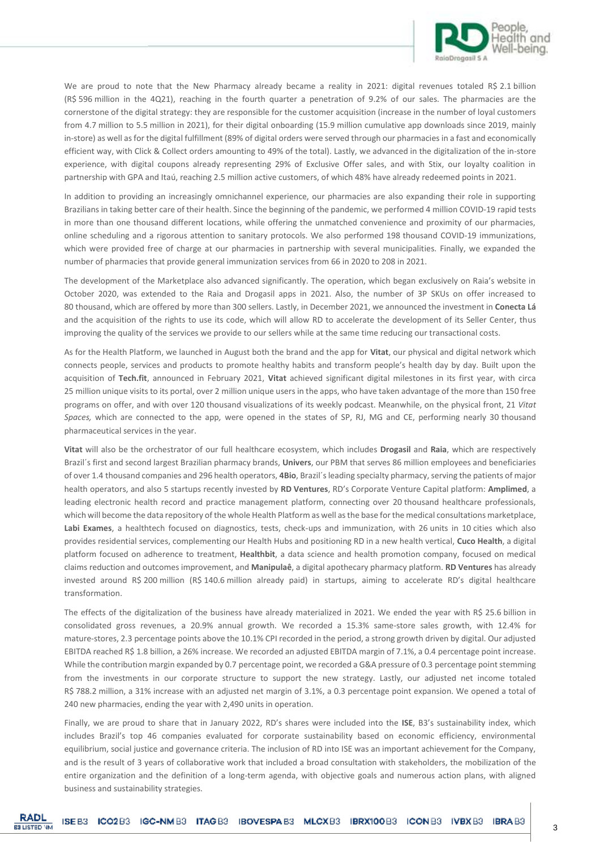

We are proud to note that the New Pharmacy already became a reality in 2021: digital revenues totaled R\$ 2.1 billion (R\$ 596 million in the 4Q21), reaching in the fourth quarter a penetration of 9.2% of our sales. The pharmacies are the cornerstone of the digital strategy: they are responsible for the customer acquisition (increase in the number of loyal customers from 4.7 million to 5.5 million in 2021), for their digital onboarding (15.9 million cumulative app downloads since 2019, mainly in-store) as well as for the digital fulfillment (89% of digital orders were served through our pharmacies in a fast and economically efficient way, with Click & Collect orders amounting to 49% of the total). Lastly, we advanced in the digitalization of the in-store experience, with digital coupons already representing 29% of Exclusive Offer sales, and with Stix, our loyalty coalition in partnership with GPA and Itaú, reaching 2.5 million active customers, of which 48% have already redeemed points in 2021.

In addition to providing an increasingly omnichannel experience, our pharmacies are also expanding their role in supporting Brazilians in taking better care of their health. Since the beginning of the pandemic, we performed 4 million COVID-19 rapid tests in more than one thousand different locations, while offering the unmatched convenience and proximity of our pharmacies, online scheduling and a rigorous attention to sanitary protocols. We also performed 198 thousand COVID-19 immunizations, which were provided free of charge at our pharmacies in partnership with several municipalities. Finally, we expanded the number of pharmacies that provide general immunization services from 66 in 2020 to 208 in 2021.

The development of the Marketplace also advanced significantly. The operation, which began exclusively on Raia's website in October 2020, was extended to the Raia and Drogasil apps in 2021. Also, the number of 3P SKUs on offer increased to 80 thousand, which are offered by more than 300 sellers. Lastly, in December 2021, we announced the investment in **Conecta Lá** and the acquisition of the rights to use its code, which will allow RD to accelerate the development of its Seller Center, thus improving the quality of the services we provide to our sellers while at the same time reducing our transactional costs.

As for the Health Platform, we launched in August both the brand and the app for **Vitat**, our physical and digital network which connects people, services and products to promote healthy habits and transform people's health day by day. Built upon the acquisition of **Tech.fit**, announced in February 2021, **Vitat** achieved significant digital milestones in its first year, with circa 25 million unique visits to its portal, over 2 million unique users in the apps, who have taken advantage of the more than 150 free programs on offer, and with over 120 thousand visualizations of its weekly podcast. Meanwhile, on the physical front, 21 *Vitat Spaces,* which are connected to the app*,* were opened in the states of SP, RJ, MG and CE, performing nearly 30 thousand pharmaceutical services in the year.

**Vitat** will also be the orchestrator of our full healthcare ecosystem, which includes **Drogasil** and **Raia**, which are respectively Brazil´s first and second largest Brazilian pharmacy brands, **Univers**, our PBM that serves 86 million employees and beneficiaries of over 1.4 thousand companies and 296 health operators, **4Bio**, Brazil´s leading specialty pharmacy, serving the patients of major health operators, and also 5 startups recently invested by **RD Ventures**, RD's Corporate Venture Capital platform: **Amplimed**, a leading electronic health record and practice management platform, connecting over 20 thousand healthcare professionals, which will become the data repository of the whole Health Platform as well as the base for the medical consultations marketplace, **Labi Exames**, a healthtech focused on diagnostics, tests, check-ups and immunization, with 26 units in 10 cities which also provides residential services, complementing our Health Hubs and positioning RD in a new health vertical, **Cuco Health**, a digital platform focused on adherence to treatment, **Healthbit**, a data science and health promotion company, focused on medical claims reduction and outcomes improvement, and **Manipulaê**, a digital apothecary pharmacy platform. **RD Ventures** has already invested around R\$ 200 million (R\$ 140.6 million already paid) in startups, aiming to accelerate RD's digital healthcare transformation.

The effects of the digitalization of the business have already materialized in 2021. We ended the year with R\$ 25.6 billion in consolidated gross revenues, a 20.9% annual growth. We recorded a 15.3% same-store sales growth, with 12.4% for mature-stores, 2.3 percentage points above the 10.1% CPI recorded in the period, a strong growth driven by digital. Our adjusted EBITDA reached R\$ 1.8 billion, a 26% increase. We recorded an adjusted EBITDA margin of 7.1%, a 0.4 percentage point increase. While the contribution margin expanded by 0.7 percentage point, we recorded a G&A pressure of 0.3 percentage point stemming from the investments in our corporate structure to support the new strategy. Lastly, our adjusted net income totaled R\$ 788.2 million, a 31% increase with an adjusted net margin of 3.1%, a 0.3 percentage point expansion. We opened a total of 240 new pharmacies, ending the year with 2,490 units in operation.

Finally, we are proud to share that in January 2022, RD's shares were included into the **ISE**, B3's sustainability index, which includes Brazil's top 46 companies evaluated for corporate sustainability based on economic efficiency, environmental equilibrium, social justice and governance criteria. The inclusion of RD into ISE was an important achievement for the Company, and is the result of 3 years of collaborative work that included a broad consultation with stakeholders, the mobilization of the entire organization and the definition of a long-term agenda, with objective goals and numerous action plans, with aligned business and sustainability strategies.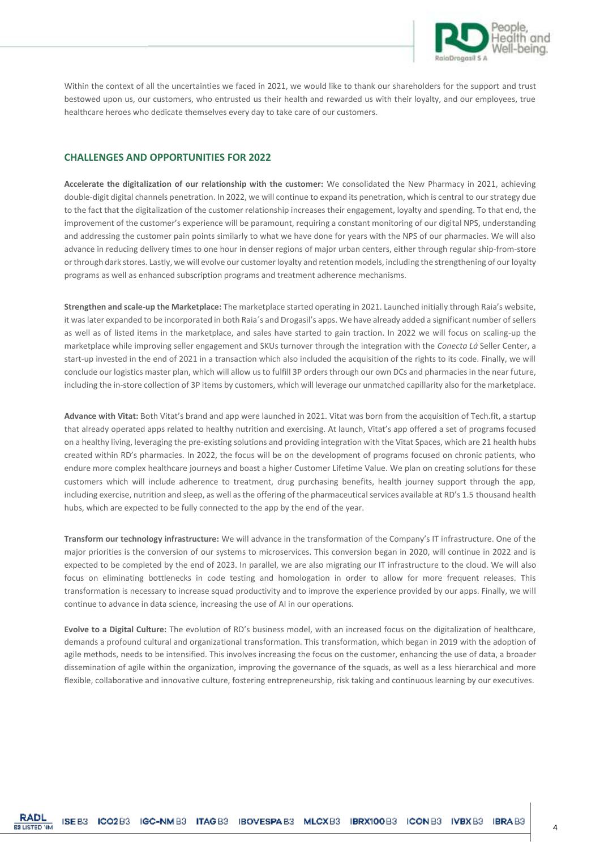

Within the context of all the uncertainties we faced in 2021, we would like to thank our shareholders for the support and trust bestowed upon us, our customers, who entrusted us their health and rewarded us with their loyalty, and our employees, true healthcare heroes who dedicate themselves every day to take care of our customers.

#### **CHALLENGES AND OPPORTUNITIES FOR 2022**

**Accelerate the digitalization of our relationship with the customer:** We consolidated the New Pharmacy in 2021, achieving double-digit digital channels penetration. In 2022, we will continue to expand its penetration, which is central to our strategy due to the fact that the digitalization of the customer relationship increases their engagement, loyalty and spending. To that end, the improvement of the customer's experience will be paramount, requiring a constant monitoring of our digital NPS, understanding and addressing the customer pain points similarly to what we have done for years with the NPS of our pharmacies. We will also advance in reducing delivery times to one hour in denser regions of major urban centers, either through regular ship-from-store or through dark stores. Lastly, we will evolve our customer loyalty and retention models, including the strengthening of our loyalty programs as well as enhanced subscription programs and treatment adherence mechanisms.

**Strengthen and scale-up the Marketplace:** The marketplace started operating in 2021. Launched initially through Raia's website, it was later expanded to be incorporated in both Raia´s and Drogasil's apps. We have already added a significant number of sellers as well as of listed items in the marketplace, and sales have started to gain traction. In 2022 we will focus on scaling-up the marketplace while improving seller engagement and SKUs turnover through the integration with the *Conecta Lá* Seller Center, a start-up invested in the end of 2021 in a transaction which also included the acquisition of the rights to its code. Finally, we will conclude our logistics master plan, which will allow us to fulfill 3P orders through our own DCs and pharmacies in the near future, including the in-store collection of 3P items by customers, which will leverage our unmatched capillarity also for the marketplace.

**Advance with Vitat:** Both Vitat's brand and app were launched in 2021. Vitat was born from the acquisition of Tech.fit, a startup that already operated apps related to healthy nutrition and exercising. At launch, Vitat's app offered a set of programs focused on a healthy living, leveraging the pre-existing solutions and providing integration with the Vitat Spaces, which are 21 health hubs created within RD's pharmacies. In 2022, the focus will be on the development of programs focused on chronic patients, who endure more complex healthcare journeys and boast a higher Customer Lifetime Value. We plan on creating solutions for these customers which will include adherence to treatment, drug purchasing benefits, health journey support through the app, including exercise, nutrition and sleep, as well as the offering of the pharmaceutical services available at RD's 1.5 thousand health hubs, which are expected to be fully connected to the app by the end of the year.

**Transform our technology infrastructure:** We will advance in the transformation of the Company's IT infrastructure. One of the major priorities is the conversion of our systems to microservices. This conversion began in 2020, will continue in 2022 and is expected to be completed by the end of 2023. In parallel, we are also migrating our IT infrastructure to the cloud. We will also focus on eliminating bottlenecks in code testing and homologation in order to allow for more frequent releases. This transformation is necessary to increase squad productivity and to improve the experience provided by our apps. Finally, we will continue to advance in data science, increasing the use of AI in our operations.

**Evolve to a Digital Culture:** The evolution of RD's business model, with an increased focus on the digitalization of healthcare, demands a profound cultural and organizational transformation. This transformation, which began in 2019 with the adoption of agile methods, needs to be intensified. This involves increasing the focus on the customer, enhancing the use of data, a broader dissemination of agile within the organization, improving the governance of the squads, as well as a less hierarchical and more flexible, collaborative and innovative culture, fostering entrepreneurship, risk taking and continuous learning by our executives.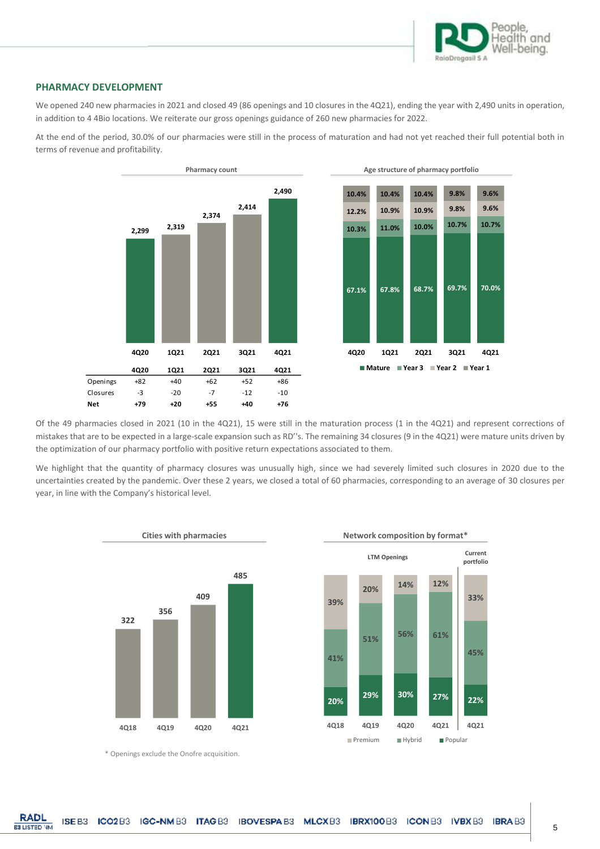

#### **PHARMACY DEVELOPMENT**

We opened 240 new pharmacies in 2021 and closed 49 (86 openings and 10 closures in the 4Q21), ending the year with 2,490 units in operation, in addition to 4 4Bio locations. We reiterate our gross openings guidance of 260 new pharmacies for 2022.

At the end of the period, 30.0% of our pharmacies were still in the process of maturation and had not yet reached their full potential both in terms of revenue and profitability.





**33%**

**portfolio**

**45%**

Of the 49 pharmacies closed in 2021 (10 in the 4Q21), 15 were still in the maturation process (1 in the 4Q21) and represent corrections of mistakes that are to be expected in a large-scale expansion such as RD''s. The remaining 34 closures (9 in the 4Q21) were mature units driven by the optimization of our pharmacy portfolio with positive return expectations associated to them.

We highlight that the quantity of pharmacy closures was unusually high, since we had severely limited such closures in 2020 due to the uncertainties created by the pandemic. Over these 2 years, we closed a total of 60 pharmacies, corresponding to an average of 30 closures per year, in line with the Company's historical level.



\* Openings exclude the Onofre acquisition.

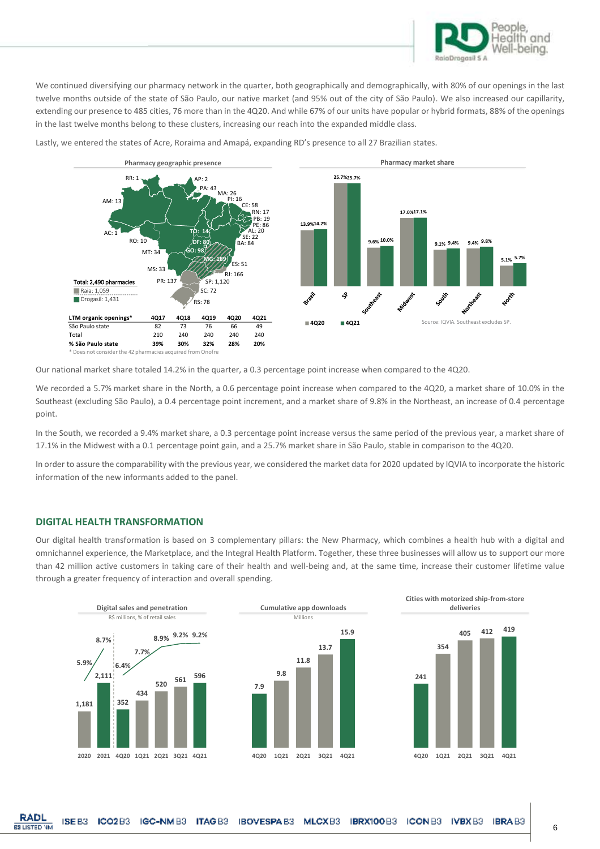

We continued diversifying our pharmacy network in the quarter, both geographically and demographically, with 80% of our openings in the last twelve months outside of the state of São Paulo, our native market (and 95% out of the city of São Paulo). We also increased our capillarity, extending our presence to 485 cities, 76 more than in the 4Q20. And while 67% of our units have popular or hybrid formats, 88% of the openings in the last twelve months belong to these clusters, increasing our reach into the expanded middle class.



Lastly, we entered the states of Acre, Roraima and Amapá, expanding RD's presence to all 27 Brazilian states.

Our national market share totaled 14.2% in the quarter, a 0.3 percentage point increase when compared to the 4Q20.

We recorded a 5.7% market share in the North, a 0.6 percentage point increase when compared to the 4Q20, a market share of 10.0% in the Southeast (excluding São Paulo), a 0.4 percentage point increment, and a market share of 9.8% in the Northeast, an increase of 0.4 percentage point.

In the South, we recorded a 9.4% market share, a 0.3 percentage point increase versus the same period of the previous year, a market share of 17.1% in the Midwest with a 0.1 percentage point gain, and a 25.7% market share in São Paulo, stable in comparison to the 4Q20.

In order to assure the comparability with the previous year, we considered the market data for 2020 updated by IQVIA to incorporate the historic information of the new informants added to the panel.

#### **DIGITAL HEALTH TRANSFORMATION**

Our digital health transformation is based on 3 complementary pillars: the New Pharmacy, which combines a health hub with a digital and omnichannel experience, the Marketplace, and the Integral Health Platform. Together, these three businesses will allow us to support our more than 42 million active customers in taking care of their health and well-being and, at the same time, increase their customer lifetime value through a greater frequency of interaction and overall spending.

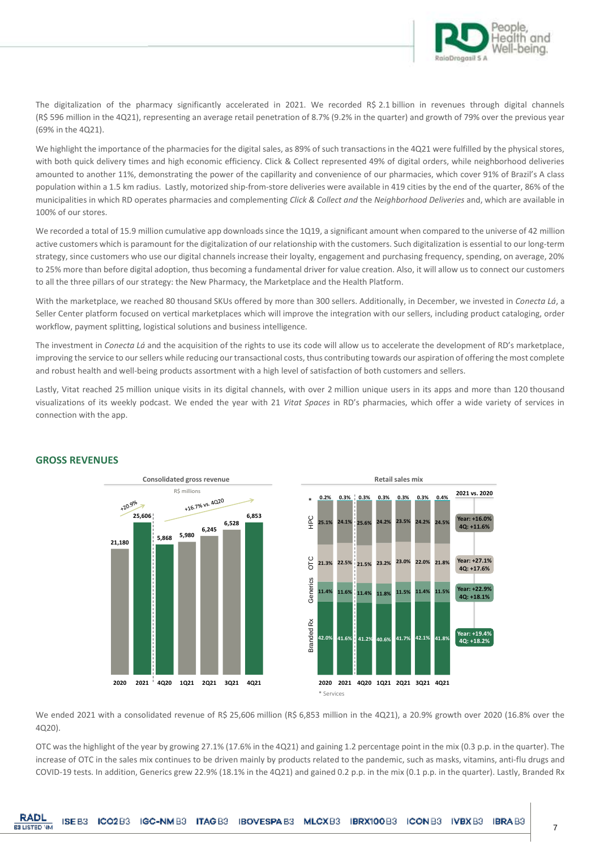

The digitalization of the pharmacy significantly accelerated in 2021. We recorded R\$ 2.1 billion in revenues through digital channels (R\$ 596 million in the 4Q21), representing an average retail penetration of 8.7% (9.2% in the quarter) and growth of 79% over the previous year (69% in the 4Q21).

We highlight the importance of the pharmacies for the digital sales, as 89% of such transactions in the 4Q21 were fulfilled by the physical stores, with both quick delivery times and high economic efficiency. Click & Collect represented 49% of digital orders, while neighborhood deliveries amounted to another 11%, demonstrating the power of the capillarity and convenience of our pharmacies, which cover 91% of Brazil's A class population within a 1.5 km radius. Lastly, motorized ship-from-store deliveries were available in 419 cities by the end of the quarter, 86% of the municipalities in which RD operates pharmacies and complementing *Click & Collect and* the *Neighborhood Deliveries* and, which are available in 100% of our stores.

We recorded a total of 15.9 million cumulative app downloads since the 1Q19, a significant amount when compared to the universe of 42 million active customers which is paramount for the digitalization of our relationship with the customers. Such digitalization is essential to our long-term strategy, since customers who use our digital channels increase their loyalty, engagement and purchasing frequency, spending, on average, 20% to 25% more than before digital adoption, thus becoming a fundamental driver for value creation. Also, it will allow us to connect our customers to all the three pillars of our strategy: the New Pharmacy, the Marketplace and the Health Platform.

With the marketplace, we reached 80 thousand SKUs offered by more than 300 sellers. Additionally, in December, we invested in *Conecta Lá*, a Seller Center platform focused on vertical marketplaces which will improve the integration with our sellers, including product cataloging, order workflow, payment splitting, logistical solutions and business intelligence.

The investment in *Conecta Lá* and the acquisition of the rights to use its code will allow us to accelerate the development of RD's marketplace, improving the service to our sellers while reducing ourtransactional costs, thus contributing towards our aspiration of offering the most complete and robust health and well-being products assortment with a high level of satisfaction of both customers and sellers.

Lastly, Vitat reached 25 million unique visits in its digital channels, with over 2 million unique users in its apps and more than 120 thousand visualizations of its weekly podcast. We ended the year with 21 *Vitat Spaces* in RD's pharmacies, which offer a wide variety of services in connection with the app.





## **GROSS REVENUES**

We ended 2021 with a consolidated revenue of R\$ 25,606 million (R\$ 6,853 million in the 4Q21), a 20.9% growth over 2020 (16.8% over the 4Q20).

OTC was the highlight of the year by growing 27.1% (17.6% in the 4Q21) and gaining 1.2 percentage point in the mix (0.3 p.p. in the quarter). The increase of OTC in the sales mix continues to be driven mainly by products related to the pandemic, such as masks, vitamins, anti-flu drugs and COVID-19 tests. In addition, Generics grew 22.9% (18.1% in the 4Q21) and gained 0.2 p.p. in the mix (0.1 p.p. in the quarter). Lastly, Branded Rx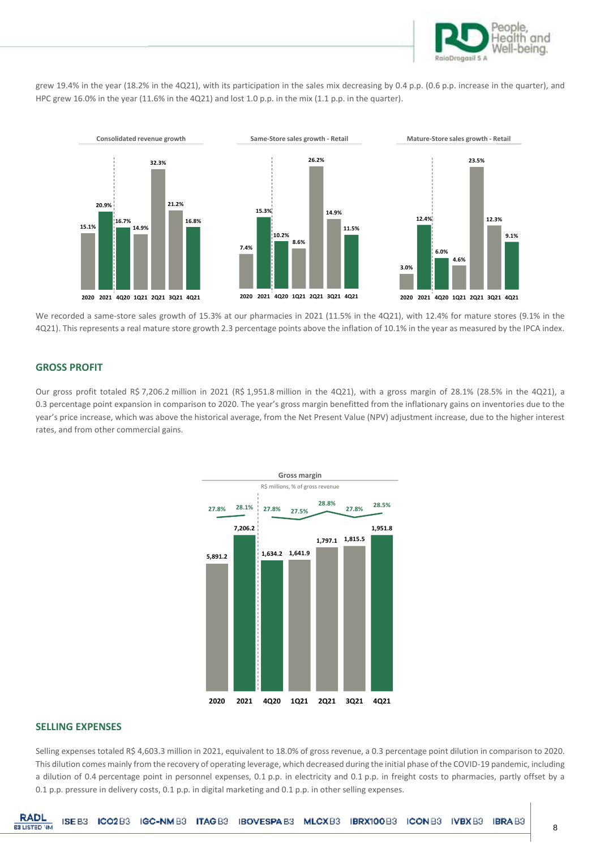

grew 19.4% in the year (18.2% in the 4Q21), with its participation in the sales mix decreasing by 0.4 p.p. (0.6 p.p. increase in the quarter), and HPC grew 16.0% in the year (11.6% in the 4Q21) and lost 1.0 p.p. in the mix (1.1 p.p. in the quarter).



We recorded a same-store sales growth of 15.3% at our pharmacies in 2021 (11.5% in the 4Q21), with 12.4% for mature stores (9.1% in the 4Q21). This represents a real mature store growth 2.3 percentage points above the inflation of 10.1% in the year as measured by the IPCA index.

#### **GROSS PROFIT**

Our gross profit totaled R\$ 7,206.2 million in 2021 (R\$ 1,951.8 million in the 4Q21), with a gross margin of 28.1% (28.5% in the 4Q21), a 0.3 percentage point expansion in comparison to 2020. The year's gross margin benefitted from the inflationary gains on inventories due to the year's price increase, which was above the historical average, from the Net Present Value (NPV) adjustment increase, due to the higher interest rates, and from other commercial gains.



#### **SELLING EXPENSES**

Selling expenses totaled R\$ 4,603.3 million in 2021, equivalent to 18.0% of gross revenue, a 0.3 percentage point dilution in comparison to 2020. This dilution comes mainly from the recovery of operating leverage, which decreased during the initial phase of the COVID-19 pandemic, including a dilution of 0.4 percentage point in personnel expenses, 0.1 p.p. in electricity and 0.1 p.p. in freight costs to pharmacies, partly offset by a 0.1 p.p. pressure in delivery costs, 0.1 p.p. in digital marketing and 0.1 p.p. in other selling expenses.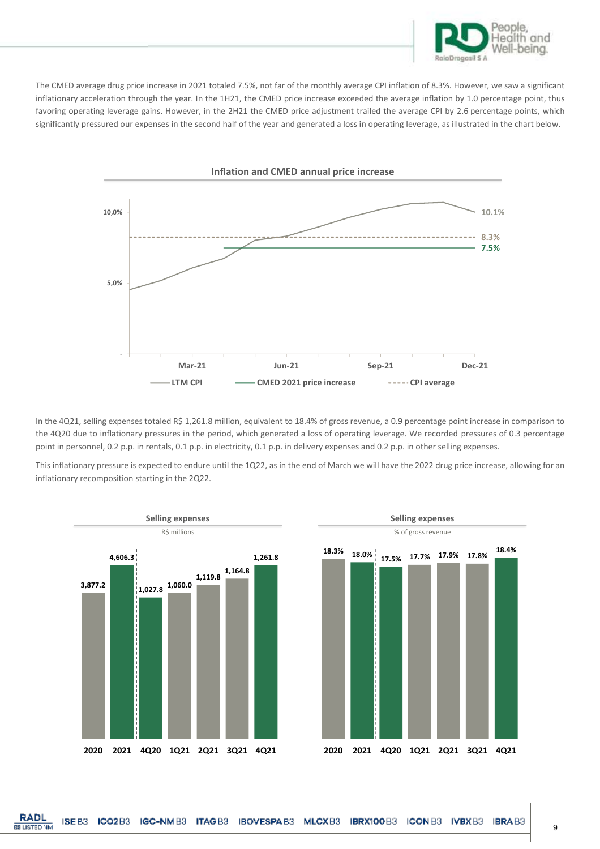

The CMED average drug price increase in 2021 totaled 7.5%, not far of the monthly average CPI inflation of 8.3%. However, we saw a significant inflationary acceleration through the year. In the 1H21, the CMED price increase exceeded the average inflation by 1.0 percentage point, thus favoring operating leverage gains. However, in the 2H21 the CMED price adjustment trailed the average CPI by 2.6 percentage points, which significantly pressured our expenses in the second half of the year and generated a loss in operating leverage, as illustrated in the chart below.



In the 4Q21, selling expenses totaled R\$ 1,261.8 million, equivalent to 18.4% of gross revenue, a 0.9 percentage point increase in comparison to the 4Q20 due to inflationary pressures in the period, which generated a loss of operating leverage. We recorded pressures of 0.3 percentage point in personnel, 0.2 p.p. in rentals, 0.1 p.p. in electricity, 0.1 p.p. in delivery expenses and 0.2 p.p. in other selling expenses.

This inflationary pressure is expected to endure until the 1Q22, as in the end of March we will have the 2022 drug price increase, allowing for an inflationary recomposition starting in the 2Q22.

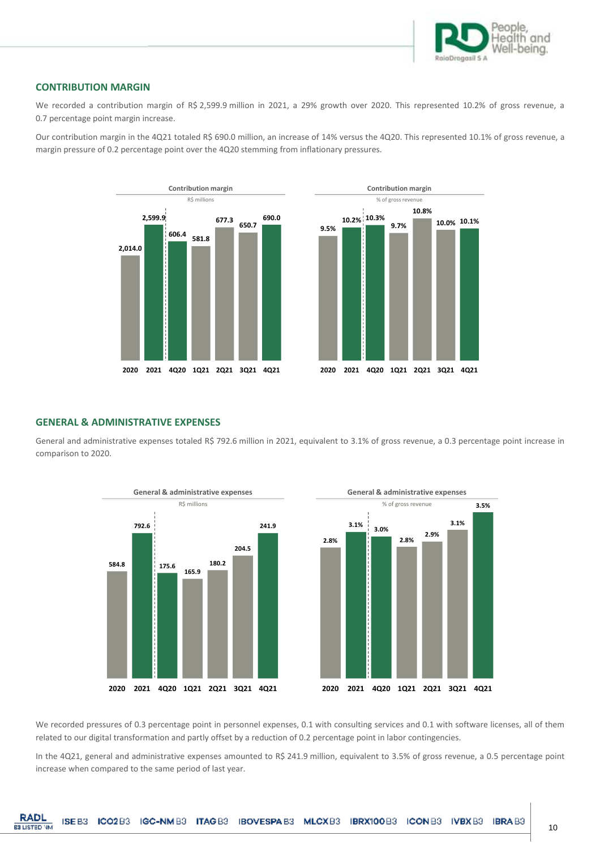

**10.0% 10.1%**

#### **CONTRIBUTION MARGIN**

We recorded a contribution margin of R\$ 2,599.9 million in 2021, a 29% growth over 2020. This represented 10.2% of gross revenue, a 0.7 percentage point margin increase.

Our contribution margin in the 4Q21 totaled R\$ 690.0 million, an increase of 14% versus the 4Q20. This represented 10.1% of gross revenue, a margin pressure of 0.2 percentage point over the 4Q20 stemming from inflationary pressures.



## **GENERAL & ADMINISTRATIVE EXPENSES**

General and administrative expenses totaled R\$ 792.6 million in 2021, equivalent to 3.1% of gross revenue, a 0.3 percentage point increase in comparison to 2020.





We recorded pressures of 0.3 percentage point in personnel expenses, 0.1 with consulting services and 0.1 with software licenses, all of them related to our digital transformation and partly offset by a reduction of 0.2 percentage point in labor contingencies.

In the 4Q21, general and administrative expenses amounted to R\$ 241.9 million, equivalent to 3.5% of gross revenue, a 0.5 percentage point increase when compared to the same period of last year.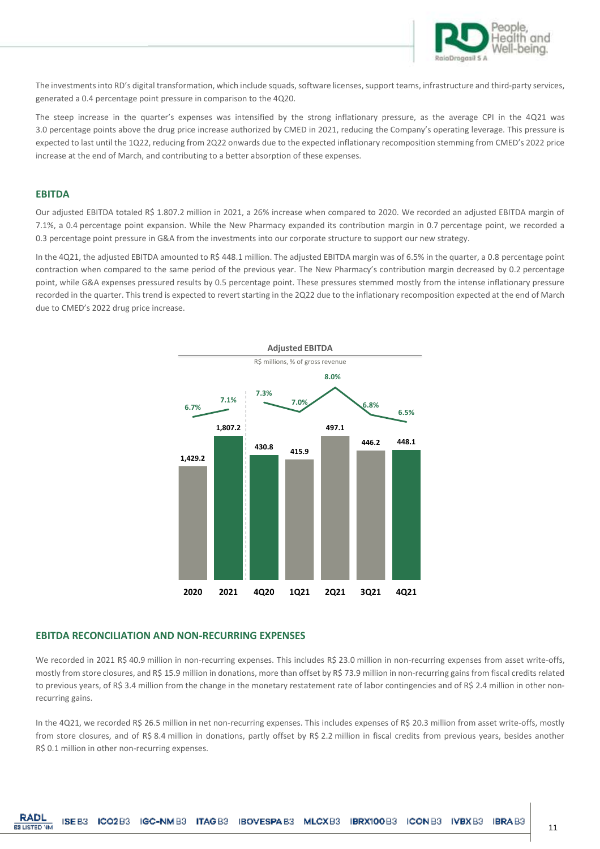

The investments into RD's digital transformation, which include squads, software licenses, support teams, infrastructure and third-party services, generated a 0.4 percentage point pressure in comparison to the 4Q20.

The steep increase in the quarter's expenses was intensified by the strong inflationary pressure, as the average CPI in the 4Q21 was 3.0 percentage points above the drug price increase authorized by CMED in 2021, reducing the Company's operating leverage. This pressure is expected to last until the 1Q22, reducing from 2Q22 onwards due to the expected inflationary recomposition stemming from CMED's 2022 price increase at the end of March, and contributing to a better absorption of these expenses.

#### **EBITDA**

Our adjusted EBITDA totaled R\$ 1.807.2 million in 2021, a 26% increase when compared to 2020. We recorded an adjusted EBITDA margin of 7.1%, a 0.4 percentage point expansion. While the New Pharmacy expanded its contribution margin in 0.7 percentage point, we recorded a 0.3 percentage point pressure in G&A from the investments into our corporate structure to support our new strategy.

In the 4Q21, the adjusted EBITDA amounted to R\$ 448.1 million. The adjusted EBITDA margin was of 6.5% in the quarter, a 0.8 percentage point contraction when compared to the same period of the previous year. The New Pharmacy's contribution margin decreased by 0.2 percentage point, while G&A expenses pressured results by 0.5 percentage point. These pressures stemmed mostly from the intense inflationary pressure recorded in the quarter. This trend is expected to revert starting in the 2Q22 due to the inflationary recomposition expected at the end of March due to CMED's 2022 drug price increase.



#### **EBITDA RECONCILIATION AND NON-RECURRING EXPENSES**

We recorded in 2021 R\$ 40.9 million in non-recurring expenses. This includes R\$ 23.0 million in non-recurring expenses from asset write-offs, mostly from store closures, and R\$ 15.9 million in donations, more than offset by R\$ 73.9 million in non-recurring gains from fiscal credits related to previous years, of R\$ 3.4 million from the change in the monetary restatement rate of labor contingencies and of R\$ 2.4 million in other nonrecurring gains.

In the 4Q21, we recorded R\$ 26.5 million in net non-recurring expenses. This includes expenses of R\$ 20.3 million from asset write-offs, mostly from store closures, and of R\$ 8.4 million in donations, partly offset by R\$ 2.2 million in fiscal credits from previous years, besides another R\$ 0.1 million in other non-recurring expenses.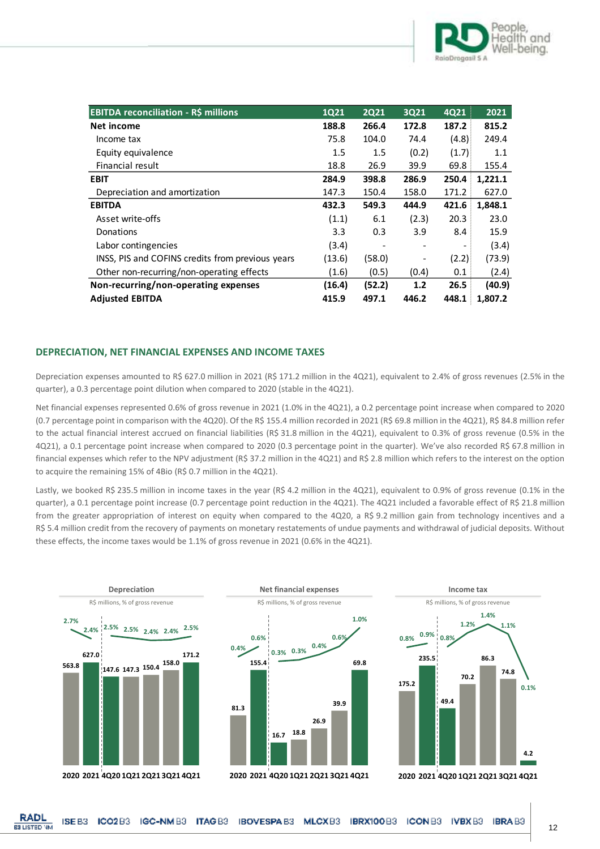

| <b>EBITDA reconciliation - R\$ millions</b>      | <b>1Q21</b> | <b>2Q21</b>              | 3Q21  | 4Q21  | 2021    |
|--------------------------------------------------|-------------|--------------------------|-------|-------|---------|
| Net income                                       | 188.8       | 266.4                    | 172.8 | 187.2 | 815.2   |
| Income tax                                       | 75.8        | 104.0                    | 74.4  | (4.8) | 249.4   |
| Equity equivalence                               | 1.5         | 1.5                      | (0.2) | (1.7) | 1.1     |
| Financial result                                 | 18.8        | 26.9                     | 39.9  | 69.8  | 155.4   |
| <b>EBIT</b>                                      | 284.9       | 398.8                    | 286.9 | 250.4 | 1,221.1 |
| Depreciation and amortization                    | 147.3       | 150.4                    | 158.0 | 171.2 | 627.0   |
| <b>EBITDA</b>                                    | 432.3       | 549.3                    | 444.9 | 421.6 | 1,848.1 |
| Asset write-offs                                 | (1.1)       | 6.1                      | (2.3) | 20.3  | 23.0    |
| Donations                                        | 3.3         | 0.3                      | 3.9   | 8.4   | 15.9    |
| Labor contingencies                              | (3.4)       | $\overline{\phantom{a}}$ |       |       | (3.4)   |
| INSS, PIS and COFINS credits from previous years | (13.6)      | (58.0)                   |       | (2.2) | (73.9)  |
| Other non-recurring/non-operating effects        | (1.6)       | (0.5)                    | (0.4) | 0.1   | (2.4)   |
| Non-recurring/non-operating expenses             | (16.4)      | (52.2)                   | 1.2   | 26.5  | (40.9)  |
| <b>Adjusted EBITDA</b>                           | 415.9       | 497.1                    | 446.2 | 448.1 | 1,807.2 |

#### **DEPRECIATION, NET FINANCIAL EXPENSES AND INCOME TAXES**

Depreciation expenses amounted to R\$ 627.0 million in 2021 (R\$ 171.2 million in the 4Q21), equivalent to 2.4% of gross revenues (2.5% in the quarter), a 0.3 percentage point dilution when compared to 2020 (stable in the 4Q21).

Net financial expenses represented 0.6% of gross revenue in 2021 (1.0% in the 4Q21), a 0.2 percentage point increase when compared to 2020 (0.7 percentage point in comparison with the 4Q20). Of the R\$ 155.4 million recorded in 2021 (R\$ 69.8 million in the 4Q21), R\$ 84.8 million refer to the actual financial interest accrued on financial liabilities (R\$ 31.8 million in the 4Q21), equivalent to 0.3% of gross revenue (0.5% in the 4Q21), a 0.1 percentage point increase when compared to 2020 (0.3 percentage point in the quarter). We've also recorded R\$ 67.8 million in financial expenses which refer to the NPV adjustment (R\$ 37.2 million in the 4Q21) and R\$ 2.8 million which refers to the interest on the option to acquire the remaining 15% of 4Bio (R\$ 0.7 million in the 4Q21).

Lastly, we booked R\$ 235.5 million in income taxes in the year (R\$ 4.2 million in the 4Q21), equivalent to 0.9% of gross revenue (0.1% in the quarter), a 0.1 percentage point increase (0.7 percentage point reduction in the 4Q21). The 4Q21 included a favorable effect of R\$ 21.8 million from the greater appropriation of interest on equity when compared to the 4Q20, a R\$ 9.2 million gain from technology incentives and a R\$ 5.4 million credit from the recovery of payments on monetary restatements of undue payments and withdrawal of judicial deposits. Without these effects, the income taxes would be 1.1% of gross revenue in 2021 (0.6% in the 4Q21).

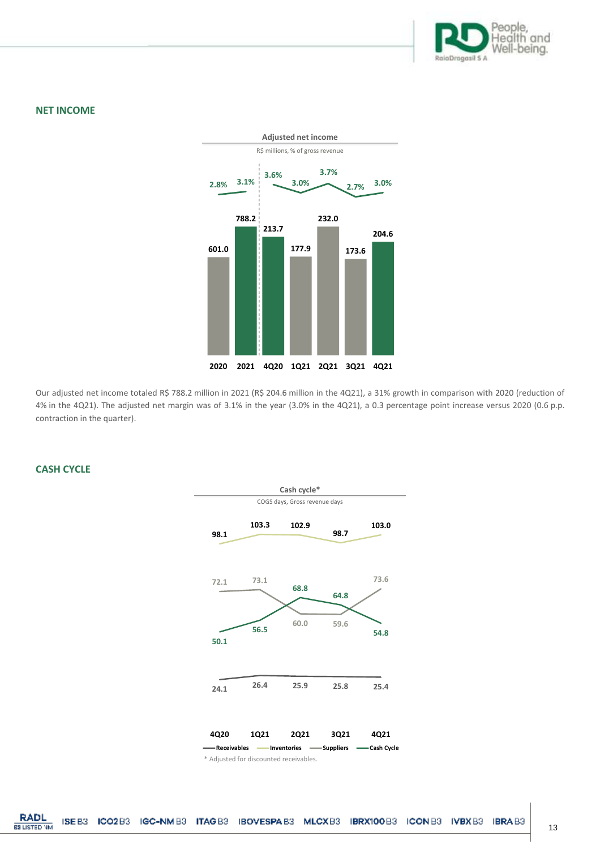

#### **NET INCOME**



Our adjusted net income totaled R\$ 788.2 million in 2021 (R\$ 204.6 million in the 4Q21), a 31% growth in comparison with 2020 (reduction of 4% in the 4Q21). The adjusted net margin was of 3.1% in the year (3.0% in the 4Q21), a 0.3 percentage point increase versus 2020 (0.6 p.p. contraction in the quarter).

## **CASH CYCLE**

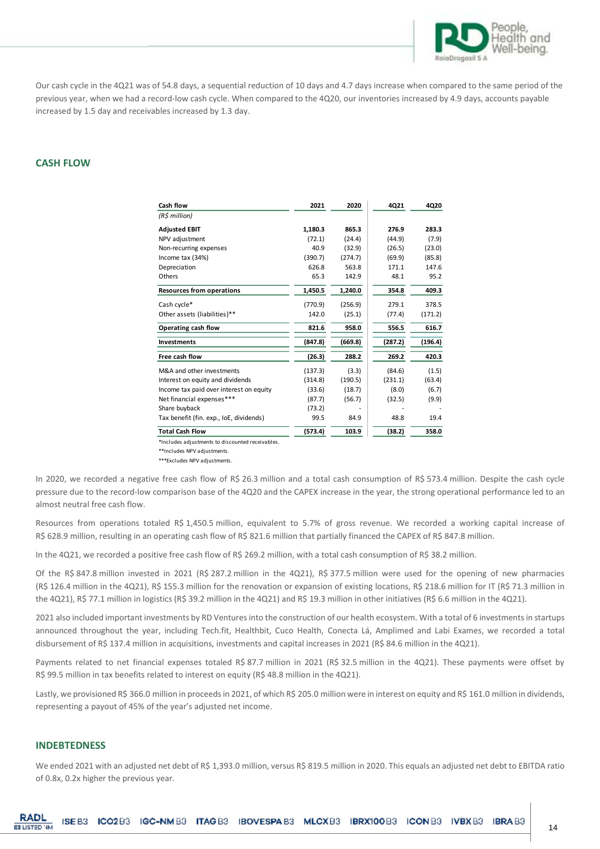

Our cash cycle in the 4Q21 was of 54.8 days, a sequential reduction of 10 days and 4.7 days increase when compared to the same period of the previous year, when we had a record-low cash cycle. When compared to the 4Q20, our inventories increased by 4.9 days, accounts payable increased by 1.5 day and receivables increased by 1.3 day.

#### **CASH FLOW**

|                                         | Cash flow                                                                                                                                                                                                                                                                                                                                                        | 2021           | 2020             | 4Q21          | 4Q20          |
|-----------------------------------------|------------------------------------------------------------------------------------------------------------------------------------------------------------------------------------------------------------------------------------------------------------------------------------------------------------------------------------------------------------------|----------------|------------------|---------------|---------------|
|                                         | $(R\sin\theta)$                                                                                                                                                                                                                                                                                                                                                  |                |                  |               |               |
|                                         | <b>Adjusted EBIT</b>                                                                                                                                                                                                                                                                                                                                             | 1,180.3        | 865.3            | 276.9         | 283.3         |
|                                         | NPV adjustment                                                                                                                                                                                                                                                                                                                                                   | (72.1)         | (24.4)           | (44.9)        | (7.9)         |
|                                         | Non-recurring expenses                                                                                                                                                                                                                                                                                                                                           | 40.9           | (32.9)           | (26.5)        | (23.0)        |
|                                         | Income tax (34%)                                                                                                                                                                                                                                                                                                                                                 | (390.7)        | (274.7)<br>563.8 | (69.9)        | (85.8)        |
|                                         | Depreciation<br>Others                                                                                                                                                                                                                                                                                                                                           | 626.8<br>65.3  | 142.9            | 171.1<br>48.1 | 147.6<br>95.2 |
|                                         | <b>Resources from operations</b>                                                                                                                                                                                                                                                                                                                                 | 1,450.5        | 1,240.0          | 354.8         | 409.3         |
|                                         | Cash cycle*                                                                                                                                                                                                                                                                                                                                                      | (770.9)        | (256.9)          | 279.1         | 378.5         |
|                                         | Other assets (liabilities)**                                                                                                                                                                                                                                                                                                                                     | 142.0          | (25.1)           | (77.4)        | (171.2)       |
|                                         | Operating cash flow                                                                                                                                                                                                                                                                                                                                              | 821.6          | 958.0            | 556.5         | 616.7         |
|                                         | Investments                                                                                                                                                                                                                                                                                                                                                      | (847.8)        | (669.8)          | (287.2)       | (196.4)       |
|                                         | Free cash flow                                                                                                                                                                                                                                                                                                                                                   | (26.3)         | 288.2            | 269.2         | 420.3         |
|                                         | M&A and other investments                                                                                                                                                                                                                                                                                                                                        | (137.3)        | (3.3)            | (84.6)        | (1.5)         |
|                                         | Interest on equity and dividends                                                                                                                                                                                                                                                                                                                                 | (314.8)        | (190.5)          | (231.1)       | (63.4)        |
|                                         | Income tax paid over interest on equity                                                                                                                                                                                                                                                                                                                          | (33.6)         | (18.7)           | (8.0)         | (6.7)         |
|                                         | Net financial expenses***<br>Share buyback                                                                                                                                                                                                                                                                                                                       | (87.7)         | (56.7)           | (32.5)        | (9.9)         |
|                                         | Tax benefit (fin. exp., IoE, dividends)                                                                                                                                                                                                                                                                                                                          | (73.2)<br>99.5 | 84.9             | 48.8          | 19.4          |
|                                         | <b>Total Cash Flow</b>                                                                                                                                                                                                                                                                                                                                           | (573.4)        | 103.9            | (38.2)        | 358.0         |
|                                         | *Includes adjustments to discounted receivables.<br>**Includes NPV adjustments.<br>***Excludes NPV adjustments.                                                                                                                                                                                                                                                  |                |                  |               |               |
| almost neutral free cash flow.          | pressure due to the record-low comparison base of the 4Q20 and the CAPEX increase in the year, the strong op<br>Resources from operations totaled R\$ 1,450.5 million, equivalent to 5.7% of gross revenue. We recorded                                                                                                                                          |                |                  |               |               |
|                                         | R\$ 628.9 million, resulting in an operating cash flow of R\$ 821.6 million that partially financed the CAPEX of R\$                                                                                                                                                                                                                                             |                |                  |               |               |
|                                         | In the 4Q21, we recorded a positive free cash flow of R\$ 269.2 million, with a total cash consumption of R\$ 38.2                                                                                                                                                                                                                                               |                |                  |               |               |
|                                         | Of the R\$ 847.8 million invested in 2021 (R\$ 287.2 million in the 4Q21), R\$ 377.5 million were used for t<br>(R\$ 126.4 million in the 4Q21), R\$ 155.3 million for the renovation or expansion of existing locations, R\$ 218.6<br>the 4Q21), R\$ 77.1 million in logistics (R\$ 39.2 million in the 4Q21) and R\$ 19.3 million in other initiatives (R\$ 6. |                |                  |               |               |
|                                         | 2021 also included important investments by RD Ventures into the construction of our health ecosystem. With a<br>announced throughout the year, including Tech.fit, Healthbit, Cuco Health, Conecta Lá, Amplimed and Lal<br>disbursement of R\$ 137.4 million in acquisitions, investments and capital increases in 2021 (R\$ 84.6 million in tl                 |                |                  |               |               |
|                                         | Payments related to net financial expenses totaled R\$ 87.7 million in 2021 (R\$ 32.5 million in the 4Q21). 7<br>R\$ 99.5 million in tax benefits related to interest on equity (R\$ 48.8 million in the 4Q21).                                                                                                                                                  |                |                  |               |               |
|                                         | Lastly, we provisioned R\$ 366.0 million in proceeds in 2021, of which R\$ 205.0 million were in interest on equity a<br>representing a payout of 45% of the year's adjusted net income.                                                                                                                                                                         |                |                  |               |               |
| <b>INDEBTEDNESS</b>                     |                                                                                                                                                                                                                                                                                                                                                                  |                |                  |               |               |
|                                         | We ended 2021 with an adjusted net debt of R\$ 1,393.0 million, versus R\$ 819.5 million in 2020. This equals an a                                                                                                                                                                                                                                               |                |                  |               |               |
| of 0.8x, 0.2x higher the previous year. |                                                                                                                                                                                                                                                                                                                                                                  |                |                  |               |               |

In 2020, we recorded a negative free cash flow of R\$ 26.3 million and a total cash consumption of R\$ 573.4 million. Despite the cash cycle pressure due to the record-low comparison base of the 4Q20 and the CAPEX increase in the year, the strong operational performance led to an almost neutral free cash flow.

Resources from operations totaled R\$ 1,450.5 million, equivalent to 5.7% of gross revenue. We recorded a working capital increase of R\$ 628.9 million, resulting in an operating cash flow of R\$ 821.6 million that partially financed the CAPEX of R\$ 847.8 million.

In the 4Q21, we recorded a positive free cash flow of R\$ 269.2 million, with a total cash consumption of R\$ 38.2 million.

Of the R\$ 847.8 million invested in 2021 (R\$ 287.2 million in the 4Q21), R\$ 377.5 million were used for the opening of new pharmacies (R\$ 126.4 million in the 4Q21), R\$ 155.3 million for the renovation or expansion of existing locations, R\$ 218.6 million for IT (R\$ 71.3 million in the 4Q21), R\$ 77.1 million in logistics (R\$ 39.2 million in the 4Q21) and R\$ 19.3 million in other initiatives (R\$ 6.6 million in the 4Q21).

2021 also included important investments by RD Ventures into the construction of our health ecosystem. With a total of 6 investments in startups announced throughout the year, including Tech.fit, Healthbit, Cuco Health, Conecta Lá, Amplimed and Labi Exames, we recorded a total disbursement of R\$ 137.4 million in acquisitions, investments and capital increases in 2021 (R\$ 84.6 million in the 4Q21).

Payments related to net financial expenses totaled R\$ 87.7 million in 2021 (R\$ 32.5 million in the 4Q21). These payments were offset by R\$ 99.5 million in tax benefits related to interest on equity (R\$ 48.8 million in the 4Q21).

Lastly, we provisioned R\$ 366.0 million in proceeds in 2021, of which R\$ 205.0 million were in interest on equity and R\$ 161.0 million in dividends, representing a payout of 45% of the year's adjusted net income.

#### **INDEBTEDNESS**

We ended 2021 with an adjusted net debt of R\$ 1,393.0 million, versus R\$ 819.5 million in 2020. This equals an adjusted net debt to EBITDA ratio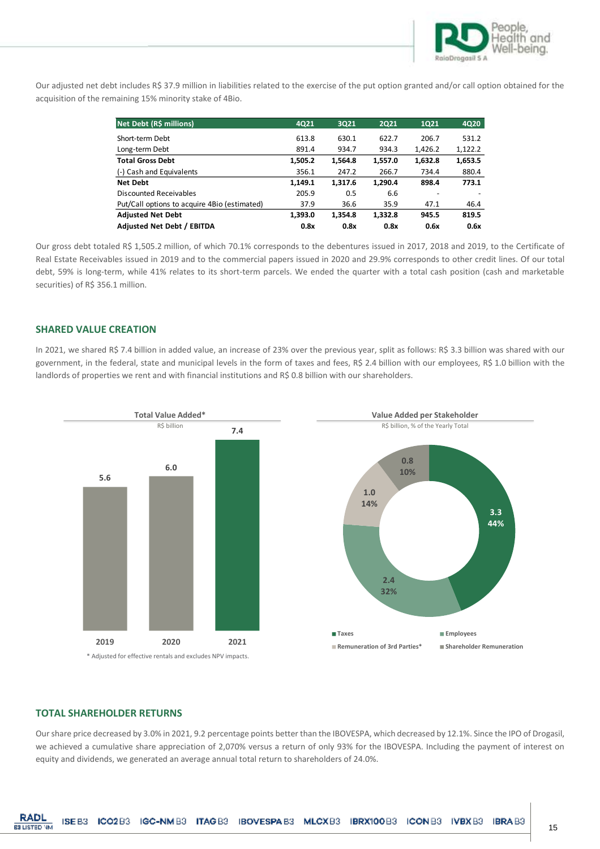

Our adjusted net debt includes R\$ 37.9 million in liabilities related to the exercise of the put option granted and/or call option obtained for the acquisition of the remaining 15% minority stake of 4Bio.

| Net Debt (R\$ millions)                      | 4021    | 3021    | 2021    | 1021    | 4Q20    |
|----------------------------------------------|---------|---------|---------|---------|---------|
| Short-term Debt                              | 613.8   | 630.1   | 622.7   | 206.7   | 531.2   |
| Long-term Debt                               | 891.4   | 934.7   | 934.3   | 1,426.2 | 1,122.2 |
| <b>Total Gross Debt</b>                      | 1,505.2 | 1,564.8 | 1,557.0 | 1,632.8 | 1,653.5 |
| (-) Cash and Equivalents                     | 356.1   | 247.2   | 266.7   | 734.4   | 880.4   |
| <b>Net Debt</b>                              | 1,149.1 | 1,317.6 | 1.290.4 | 898.4   | 773.1   |
| Discounted Receivables                       | 205.9   | 0.5     | 6.6     |         |         |
| Put/Call options to acquire 4Bio (estimated) | 37.9    | 36.6    | 35.9    | 47.1    | 46.4    |
| <b>Adjusted Net Debt</b>                     | 1,393.0 | 1,354.8 | 1.332.8 | 945.5   | 819.5   |
| Adjusted Net Debt / EBITDA                   | 0.8x    | 0.8x    | 0.8x    | 0.6x    | 0.6x    |

Our gross debt totaled R\$ 1,505.2 million, of which 70.1% corresponds to the debentures issued in 2017, 2018 and 2019, to the Certificate of Real Estate Receivables issued in 2019 and to the commercial papers issued in 2020 and 29.9% corresponds to other credit lines. Of our total debt, 59% is long-term, while 41% relates to its short-term parcels. We ended the quarter with a total cash position (cash and marketable securities) of R\$ 356.1 million.

#### **SHARED VALUE CREATION**

In 2021, we shared R\$ 7.4 billion in added value, an increase of 23% over the previous year, split as follows: R\$ 3.3 billion was shared with our government, in the federal, state and municipal levels in the form of taxes and fees, R\$ 2.4 billion with our employees, R\$ 1.0 billion with the landlords of properties we rent and with financial institutions and R\$ 0.8 billion with our shareholders.



#### **TOTAL SHAREHOLDER RETURNS**

Our share price decreased by 3.0% in 2021, 9.2 percentage points better than the IBOVESPA, which decreased by 12.1%. Since the IPO of Drogasil, we achieved a cumulative share appreciation of 2,070% versus a return of only 93% for the IBOVESPA. Including the payment of interest on equity and dividends, we generated an average annual total return to shareholders of 24.0%.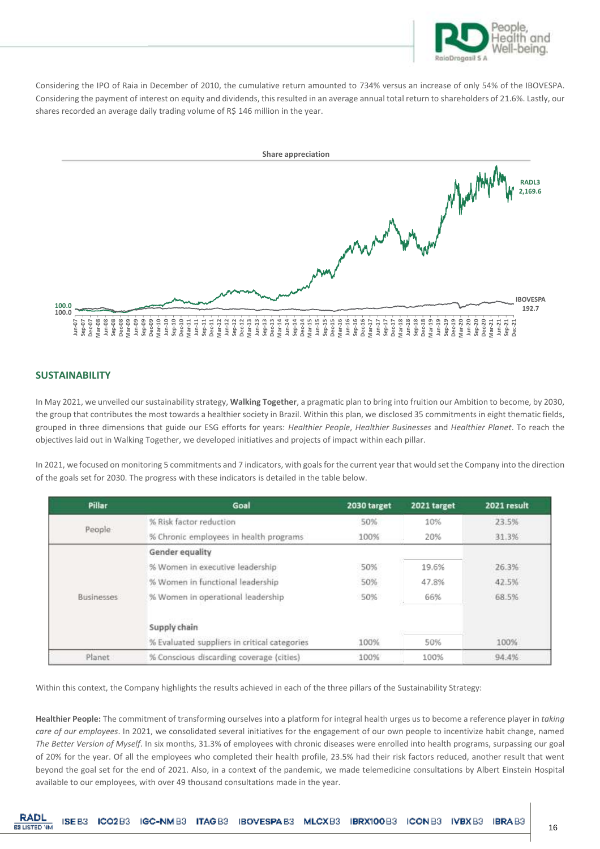

Considering the IPO of Raia in December of 2010, the cumulative return amounted to 734% versus an increase of only 54% of the IBOVESPA. Considering the payment of interest on equity and dividends, this resulted in an average annual total return to shareholders of 21.6%. Lastly, our shares recorded an average daily trading volume of R\$ 146 million in the year.



## **SUSTAINABILITY**

In May 2021, we unveiled our sustainability strategy, **Walking Together**, a pragmatic plan to bring into fruition our Ambition to become, by 2030, the group that contributes the most towards a healthier society in Brazil. Within this plan, we disclosed 35 commitments in eight thematic fields, grouped in three dimensions that guide our ESG efforts for years: *Healthier People*, *Healthier Businesses* and *Healthier Planet*. To reach the objectives laid out in Walking Together, we developed initiatives and projects of impact within each pillar.

In 2021, we focused on monitoring 5 commitments and 7 indicators, with goals for the current year that would set the Company into the direction of the goals set for 2030. The progress with these indicators is detailed in the table below.

| Pillar            | Goal                                         | 2030 target | 2021 target | 2021 result |
|-------------------|----------------------------------------------|-------------|-------------|-------------|
|                   | % Risk factor reduction                      | 50%         | 10%         | 23.5%       |
| People            | % Chronic employees in health programs       | 100%        | 20%         | 31.3%       |
|                   | Gender equality                              |             |             |             |
|                   | % Women in executive leadership              | 50%         | 19.6%       | 26.3%       |
|                   | % Women in functional leadership             | 50%         | 47.8%       | 42.5%       |
| <b>Businesses</b> | % Women in operational leadership            | 50%         | 66%         | 68.5%       |
|                   | Supply chain                                 |             |             |             |
|                   | % Evaluated suppliers in critical categories | 100%        | 50%         | 100%        |
| Planet            | % Conscious discarding coverage (cities)     | 100%        | 100%        | 94.4%       |

Within this context, the Company highlights the results achieved in each of the three pillars of the Sustainability Strategy:

**Healthier People:** The commitment of transforming ourselves into a platform for integral health urges us to become a reference player in *taking care of our employees*. In 2021, we consolidated several initiatives for the engagement of our own people to incentivize habit change, named *The Better Version of Myself*. In six months, 31.3% of employees with chronic diseases were enrolled into health programs, surpassing our goal of 20% for the year. Of all the employees who completed their health profile, 23.5% had their risk factors reduced, another result that went beyond the goal set for the end of 2021. Also, in a context of the pandemic, we made telemedicine consultations by Albert Einstein Hospital available to our employees, with over 49 thousand consultations made in the year.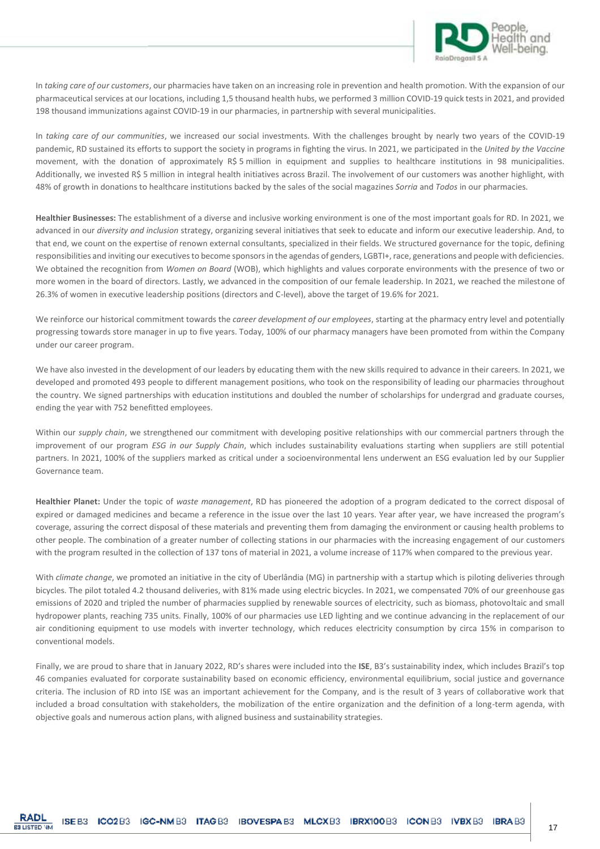

In *taking care of our customers*, our pharmacies have taken on an increasing role in prevention and health promotion. With the expansion of our pharmaceutical services at our locations, including 1,5 thousand health hubs, we performed 3 million COVID-19 quick tests in 2021, and provided 198 thousand immunizations against COVID-19 in our pharmacies, in partnership with several municipalities.

In *taking care of our communities*, we increased our social investments. With the challenges brought by nearly two years of the COVID-19 pandemic, RD sustained its efforts to support the society in programs in fighting the virus. In 2021, we participated in the *United by the Vaccine*  movement, with the donation of approximately R\$ 5 million in equipment and supplies to healthcare institutions in 98 municipalities. Additionally, we invested R\$ 5 million in integral health initiatives across Brazil. The involvement of our customers was another highlight, with 48% of growth in donations to healthcare institutions backed by the sales of the social magazines *Sorria* and *Todos* in our pharmacies.

**Healthier Businesses:** The establishment of a diverse and inclusive working environment is one of the most important goals for RD. In 2021, we advanced in our *diversity and inclusion* strategy, organizing several initiatives that seek to educate and inform our executive leadership. And, to that end, we count on the expertise of renown external consultants, specialized in their fields. We structured governance for the topic, defining responsibilities and inviting our executives to become sponsors in the agendas of genders, LGBTI+, race, generations and people with deficiencies. We obtained the recognition from *Women on Board* (WOB), which highlights and values corporate environments with the presence of two or more women in the board of directors. Lastly, we advanced in the composition of our female leadership. In 2021, we reached the milestone of 26.3% of women in executive leadership positions (directors and C-level), above the target of 19.6% for 2021.

We reinforce our historical commitment towards the *career development of our employees*, starting at the pharmacy entry level and potentially progressing towards store manager in up to five years. Today, 100% of our pharmacy managers have been promoted from within the Company under our career program.

We have also invested in the development of our leaders by educating them with the new skills required to advance in their careers. In 2021, we developed and promoted 493 people to different management positions, who took on the responsibility of leading our pharmacies throughout the country. We signed partnerships with education institutions and doubled the number of scholarships for undergrad and graduate courses, ending the year with 752 benefitted employees.

Within our *supply chain*, we strengthened our commitment with developing positive relationships with our commercial partners through the improvement of our program *ESG in our Supply Chain*, which includes sustainability evaluations starting when suppliers are still potential partners. In 2021, 100% of the suppliers marked as critical under a socioenvironmental lens underwent an ESG evaluation led by our Supplier Governance team.

**Healthier Planet:** Under the topic of *waste management*, RD has pioneered the adoption of a program dedicated to the correct disposal of expired or damaged medicines and became a reference in the issue over the last 10 years. Year after year, we have increased the program's coverage, assuring the correct disposal of these materials and preventing them from damaging the environment or causing health problems to other people. The combination of a greater number of collecting stations in our pharmacies with the increasing engagement of our customers with the program resulted in the collection of 137 tons of material in 2021, a volume increase of 117% when compared to the previous year.

With *climate change*, we promoted an initiative in the city of Uberlândia (MG) in partnership with a startup which is piloting deliveries through bicycles. The pilot totaled 4.2 thousand deliveries, with 81% made using electric bicycles. In 2021, we compensated 70% of our greenhouse gas emissions of 2020 and tripled the number of pharmacies supplied by renewable sources of electricity, such as biomass, photovoltaic and small hydropower plants, reaching 735 units. Finally, 100% of our pharmacies use LED lighting and we continue advancing in the replacement of our air conditioning equipment to use models with inverter technology, which reduces electricity consumption by circa 15% in comparison to conventional models.

Finally, we are proud to share that in January 2022, RD's shares were included into the **ISE**, B3's sustainability index, which includes Brazil's top 46 companies evaluated for corporate sustainability based on economic efficiency, environmental equilibrium, social justice and governance criteria. The inclusion of RD into ISE was an important achievement for the Company, and is the result of 3 years of collaborative work that included a broad consultation with stakeholders, the mobilization of the entire organization and the definition of a long-term agenda, with objective goals and numerous action plans, with aligned business and sustainability strategies.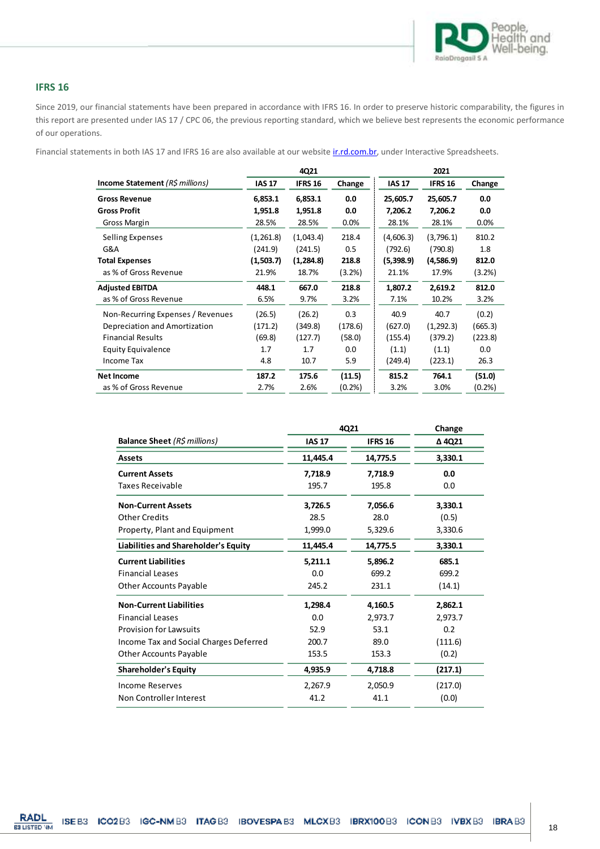

## **IFRS 16**

Since 2019, our financial statements have been prepared in accordance with IFRS 16. In order to preserve historic comparability, the figures in this report are presented under IAS 17 / CPC 06, the previous reporting standard, which we believe best represents the economic performance of our operations.

Financial statements in both IAS 17 and IFRS 16 are also available at our website [ir.rd.com.br,](https://ir.rd.com.br/) under Interactive Spreadsheets.

|                                        |               | 4Q21           |           |               | 2021           |           |
|----------------------------------------|---------------|----------------|-----------|---------------|----------------|-----------|
| <b>Income Statement</b> (R\$ millions) | <b>IAS 17</b> | <b>IFRS 16</b> | Change    | <b>IAS 17</b> | <b>IFRS 16</b> | Change    |
| <b>Gross Revenue</b>                   | 6,853.1       | 6,853.1        | 0.0       | 25,605.7      | 25,605.7       | 0.0       |
| <b>Gross Profit</b>                    | 1,951.8       | 1,951.8        | 0.0       | 7,206.2       | 7,206.2        | 0.0       |
| Gross Margin                           | 28.5%         | 28.5%          | $0.0\%$   | 28.1%         | 28.1%          | 0.0%      |
| Selling Expenses                       | (1,261.8)     | (1,043.4)      | 218.4     | (4,606.3)     | (3,796.1)      | 810.2     |
| G&A                                    | (241.9)       | (241.5)        | 0.5       | (792.6)       | (790.8)        | 1.8       |
| <b>Total Expenses</b>                  | (1,503.7)     | (1,284.8)      | 218.8     | (5,398.9)     | (4,586.9)      | 812.0     |
| as % of Gross Revenue                  | 21.9%         | 18.7%          | (3.2%)    | 21.1%         | 17.9%          | $(3.2\%)$ |
| <b>Adjusted EBITDA</b>                 | 448.1         | 667.0          | 218.8     | 1,807.2       | 2,619.2        | 812.0     |
| as % of Gross Revenue                  | 6.5%          | 9.7%           | 3.2%      | 7.1%          | 10.2%          | 3.2%      |
| Non-Recurring Expenses / Revenues      | (26.5)        | (26.2)         | 0.3       | 40.9          | 40.7           | (0.2)     |
| Depreciation and Amortization          | (171.2)       | (349.8)        | (178.6)   | (627.0)       | (1, 292.3)     | (665.3)   |
| <b>Financial Results</b>               | (69.8)        | (127.7)        | (58.0)    | (155.4)       | (379.2)        | (223.8)   |
| <b>Equity Equivalence</b>              | 1.7           | 1.7            | 0.0       | (1.1)         | (1.1)          | 0.0       |
| Income Tax                             | 4.8           | 10.7           | 5.9       | (249.4)       | (223.1)        | 26.3      |
| <b>Net Income</b>                      | 187.2         | 175.6          | (11.5)    | 815.2         | 764.1          | (51.0)    |
| as % of Gross Revenue                  | 2.7%          | 2.6%           | $(0.2\%)$ | 3.2%          | 3.0%           | (0.2%     |

|                                        | 4Q21          |                | Change  |
|----------------------------------------|---------------|----------------|---------|
| <b>Balance Sheet (R\$ millions)</b>    | <b>IAS 17</b> | <b>IFRS 16</b> | A 4Q21  |
| Assets                                 | 11,445.4      | 14,775.5       | 3,330.1 |
| <b>Current Assets</b>                  | 7,718.9       | 7,718.9        | 0.0     |
| Taxes Receivable                       | 195.7         | 195.8          | 0.0     |
| <b>Non-Current Assets</b>              | 3,726.5       | 7,056.6        | 3,330.1 |
| <b>Other Credits</b>                   | 28.5          | 28.0           | (0.5)   |
| Property, Plant and Equipment          | 1,999.0       | 5,329.6        | 3,330.6 |
| Liabilities and Shareholder's Equity   | 11,445.4      | 14,775.5       | 3,330.1 |
| <b>Current Liabilities</b>             | 5,211.1       | 5,896.2        | 685.1   |
| <b>Financial Leases</b>                | 0.0           | 699.2          | 699.2   |
| <b>Other Accounts Payable</b>          | 245.2         | 231.1          | (14.1)  |
| <b>Non-Current Liabilities</b>         | 1,298.4       | 4,160.5        | 2,862.1 |
| <b>Financial Leases</b>                | 0.0           | 2,973.7        | 2.973.7 |
| <b>Provision for Lawsuits</b>          | 52.9          | 53.1           | 0.2     |
| Income Tax and Social Charges Deferred | 200.7         | 89.0           | (111.6) |
| <b>Other Accounts Payable</b>          | 153.5         | 153.3          | (0.2)   |
| <b>Shareholder's Equity</b>            | 4,935.9       | 4,718.8        | (217.1) |
| <b>Income Reserves</b>                 | 2,267.9       | 2,050.9        | (217.0) |
| Non Controller Interest                | 41.2          | 41.1           | (0.0)   |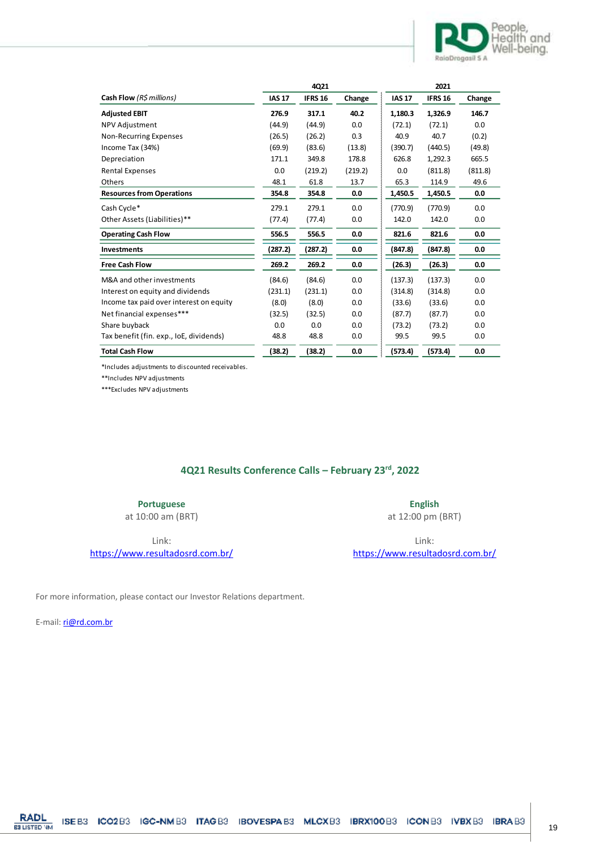

|                                         | 4Q21          |                |         | 2021          |                |         |
|-----------------------------------------|---------------|----------------|---------|---------------|----------------|---------|
| Cash Flow (R\$ millions)                | <b>IAS 17</b> | <b>IFRS 16</b> | Change  | <b>IAS 17</b> | <b>IFRS 16</b> | Change  |
| <b>Adjusted EBIT</b>                    | 276.9         | 317.1          | 40.2    | 1,180.3       | 1,326.9        | 146.7   |
| <b>NPV Adjustment</b>                   | (44.9)        | (44.9)         | 0.0     | (72.1)        | (72.1)         | 0.0     |
| Non-Recurring Expenses                  | (26.5)        | (26.2)         | 0.3     | 40.9          | 40.7           | (0.2)   |
| Income Tax (34%)                        | (69.9)        | (83.6)         | (13.8)  | (390.7)       | (440.5)        | (49.8)  |
| Depreciation                            | 171.1         | 349.8          | 178.8   | 626.8         | 1,292.3        | 665.5   |
| <b>Rental Expenses</b>                  | 0.0           | (219.2)        | (219.2) | 0.0           | (811.8)        | (811.8) |
| Others                                  | 48.1          | 61.8           | 13.7    | 65.3          | 114.9          | 49.6    |
| <b>Resources from Operations</b>        | 354.8         | 354.8          | 0.0     | 1,450.5       | 1,450.5        | 0.0     |
| Cash Cycle*                             | 279.1         | 279.1          | 0.0     | (770.9)       | (770.9)        | 0.0     |
| Other Assets (Liabilities)**            | (77.4)        | (77.4)         | 0.0     | 142.0         | 142.0          | 0.0     |
| <b>Operating Cash Flow</b>              | 556.5         | 556.5          | 0.0     | 821.6         | 821.6          | 0.0     |
| <b>Investments</b>                      | (287.2)       | (287.2)        | 0.0     | (847.8)       | (847.8)        | 0.0     |
| <b>Free Cash Flow</b>                   | 269.2         | 269.2          | 0.0     | (26.3)        | (26.3)         | 0.0     |
| M&A and other investments               | (84.6)        | (84.6)         | 0.0     | (137.3)       | (137.3)        | 0.0     |
| Interest on equity and dividends        | (231.1)       | (231.1)        | 0.0     | (314.8)       | (314.8)        | 0.0     |
| Income tax paid over interest on equity | (8.0)         | (8.0)          | 0.0     | (33.6)        | (33.6)         | 0.0     |
| Net financial expenses***               | (32.5)        | (32.5)         | 0.0     | (87.7)        | (87.7)         | 0.0     |
| Share buyback                           | 0.0           | 0.0            | 0.0     | (73.2)        | (73.2)         | 0.0     |
| Tax benefit (fin. exp., IoE, dividends) | 48.8          | 48.8           | 0.0     | 99.5          | 99.5           | 0.0     |
| <b>Total Cash Flow</b>                  | (38.2)        | (38.2)         | 0.0     | (573.4)       | (573.4)        | 0.0     |

\*Includes adjustments to discounted receivables.

\*\*Includes NPV adjustments

\*\*\*Excludes NPV adjustments

# **4Q21 Results Conference Calls – February 23rd, 2022**

**Portuguese**

at 10:00 am (BRT)

Link:

<https://www.resultadosrd.com.br/>

**English** at 12:00 pm (BRT)

Link: <https://www.resultadosrd.com.br/>

For more information, please contact our Investor Relations department.

E-mail[: ri@rd.com.br](mailto:ri@rd.com.br)

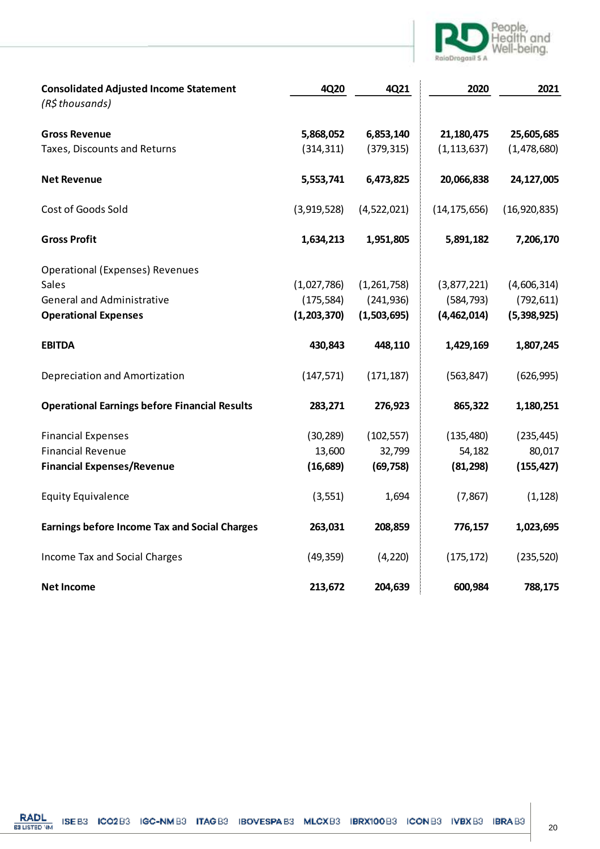

| <b>Consolidated Adjusted Income Statement</b>        | 4Q20        | 4Q21        | 2020           | 2021         |
|------------------------------------------------------|-------------|-------------|----------------|--------------|
| (R\$ thousands)                                      |             |             |                |              |
| <b>Gross Revenue</b>                                 | 5,868,052   | 6,853,140   | 21,180,475     | 25,605,685   |
| Taxes, Discounts and Returns                         | (314, 311)  | (379, 315)  | (1, 113, 637)  | (1,478,680)  |
| <b>Net Revenue</b>                                   | 5,553,741   | 6,473,825   | 20,066,838     | 24,127,005   |
| Cost of Goods Sold                                   | (3,919,528) | (4,522,021) | (14, 175, 656) | (16,920,835) |
| <b>Gross Profit</b>                                  | 1,634,213   | 1,951,805   | 5,891,182      | 7,206,170    |
| <b>Operational (Expenses) Revenues</b>               |             |             |                |              |
| Sales                                                | (1,027,786) | (1,261,758) | (3,877,221)    | (4,606,314)  |
| <b>General and Administrative</b>                    | (175, 584)  | (241, 936)  | (584, 793)     | (792, 611)   |
| <b>Operational Expenses</b>                          | (1,203,370) | (1,503,695) | (4,462,014)    | (5,398,925)  |
| <b>EBITDA</b>                                        | 430,843     | 448,110     | 1,429,169      | 1,807,245    |
| Depreciation and Amortization                        | (147, 571)  | (171, 187)  | (563, 847)     | (626, 995)   |
| <b>Operational Earnings before Financial Results</b> | 283,271     | 276,923     | 865,322        | 1,180,251    |
| <b>Financial Expenses</b>                            | (30, 289)   | (102, 557)  | (135, 480)     | (235, 445)   |
| <b>Financial Revenue</b>                             | 13,600      | 32,799      | 54,182         | 80,017       |
| <b>Financial Expenses/Revenue</b>                    | (16, 689)   | (69, 758)   | (81, 298)      | (155, 427)   |
| <b>Equity Equivalence</b>                            | (3, 551)    | 1,694       | (7, 867)       | (1, 128)     |
| <b>Earnings before Income Tax and Social Charges</b> | 263,031     | 208,859     | 776,157        | 1,023,695    |
| Income Tax and Social Charges                        | (49, 359)   | (4, 220)    | (175, 172)     | (235, 520)   |
| <b>Net Income</b>                                    | 213,672     | 204,639     | 600,984        | 788,175      |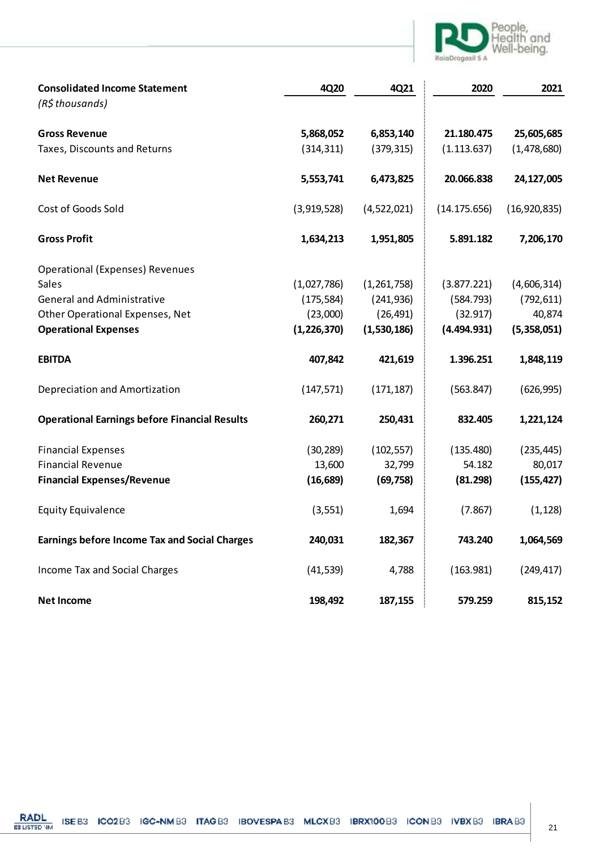

| <b>Consolidated Income Statement</b>                 | 4Q20          | 4Q21        | 2020         | 2021         |
|------------------------------------------------------|---------------|-------------|--------------|--------------|
| (R\$ thousands)                                      |               |             |              |              |
| <b>Gross Revenue</b>                                 | 5,868,052     | 6,853,140   | 21.180.475   | 25,605,685   |
| Taxes, Discounts and Returns                         | (314, 311)    | (379, 315)  | (1.113.637)  | (1,478,680)  |
| <b>Net Revenue</b>                                   | 5,553,741     | 6,473,825   | 20.066.838   | 24,127,005   |
| Cost of Goods Sold                                   | (3,919,528)   | (4,522,021) | (14.175.656) | (16,920,835) |
| <b>Gross Profit</b>                                  | 1,634,213     | 1,951,805   | 5.891.182    | 7,206,170    |
| <b>Operational (Expenses) Revenues</b>               |               |             |              |              |
| Sales                                                | (1,027,786)   | (1,261,758) | (3.877.221)  | (4,606,314)  |
| <b>General and Administrative</b>                    | (175, 584)    | (241, 936)  | (584.793)    | (792, 611)   |
| Other Operational Expenses, Net                      | (23,000)      | (26, 491)   | (32.917)     | 40,874       |
| <b>Operational Expenses</b>                          | (1, 226, 370) | (1,530,186) | (4.494.931)  | (5,358,051)  |
| <b>EBITDA</b>                                        | 407,842       | 421,619     | 1.396.251    | 1,848,119    |
| Depreciation and Amortization                        | (147, 571)    | (171, 187)  | (563.847)    | (626, 995)   |
| <b>Operational Earnings before Financial Results</b> | 260,271       | 250,431     | 832.405      | 1,221,124    |
| <b>Financial Expenses</b>                            | (30, 289)     | (102, 557)  | (135.480)    | (235, 445)   |
| <b>Financial Revenue</b>                             | 13,600        | 32,799      | 54.182       | 80,017       |
| <b>Financial Expenses/Revenue</b>                    | (16, 689)     | (69, 758)   | (81.298)     | (155, 427)   |
| <b>Equity Equivalence</b>                            | (3, 551)      | 1,694       | (7.867)      | (1, 128)     |
| <b>Earnings before Income Tax and Social Charges</b> | 240,031       | 182,367     | 743.240      | 1,064,569    |
| Income Tax and Social Charges                        | (41, 539)     | 4,788       | (163.981)    | (249, 417)   |
| <b>Net Income</b>                                    | 198,492       | 187,155     | 579.259      | 815,152      |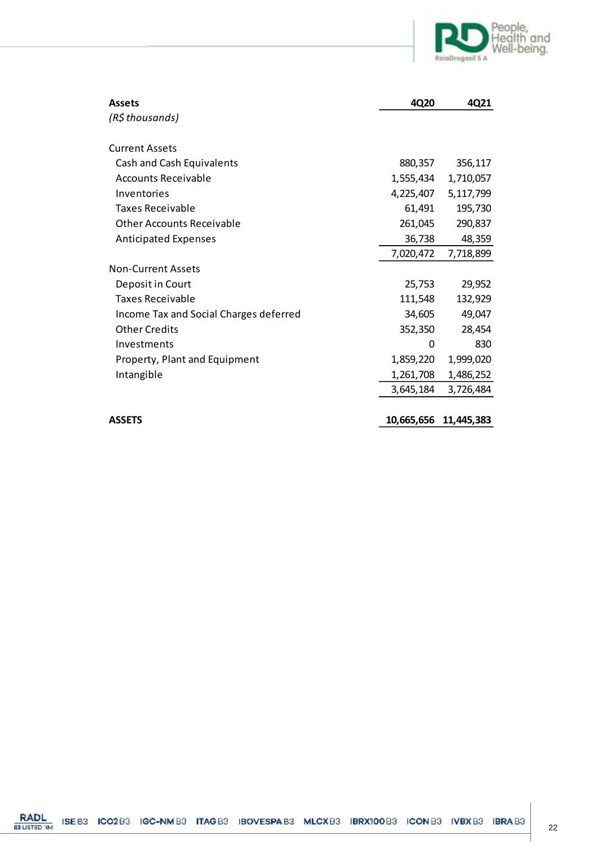

| <b>Assets</b>                          | 4Q20       | 4Q21       |
|----------------------------------------|------------|------------|
| (R\$ thousands)                        |            |            |
|                                        |            |            |
| <b>Current Assets</b>                  |            |            |
| Cash and Cash Equivalents              | 880,357    | 356,117    |
| Accounts Receivable                    | 1,555,434  | 1,710,057  |
| Inventories                            | 4,225,407  | 5,117,799  |
| Taxes Receivable                       | 61,491     | 195,730    |
| <b>Other Accounts Receivable</b>       | 261,045    | 290,837    |
| <b>Anticipated Expenses</b>            | 36,738     | 48,359     |
|                                        | 7,020,472  | 7,718,899  |
| <b>Non-Current Assets</b>              |            |            |
| Deposit in Court                       | 25,753     | 29,952     |
| Taxes Receivable                       | 111,548    | 132,929    |
| Income Tax and Social Charges deferred | 34,605     | 49,047     |
| <b>Other Credits</b>                   | 352,350    | 28,454     |
| Investments                            | 0          | 830        |
| Property, Plant and Equipment          | 1,859,220  | 1,999,020  |
| Intangible                             | 1,261,708  | 1,486,252  |
|                                        | 3,645,184  | 3,726,484  |
|                                        |            |            |
| <b>ASSETS</b>                          | 10,665,656 | 11,445,383 |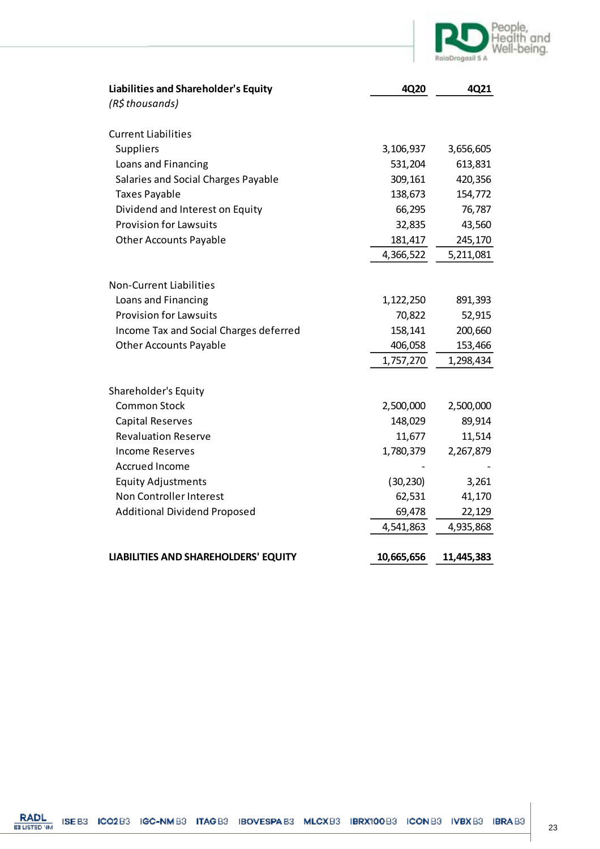

| <b>Liabilities and Shareholder's Equity</b> | 4Q20       | 4Q21       |
|---------------------------------------------|------------|------------|
| (R\$ thousands)                             |            |            |
| <b>Current Liabilities</b>                  |            |            |
| Suppliers                                   | 3,106,937  | 3,656,605  |
| Loans and Financing                         | 531,204    | 613,831    |
| Salaries and Social Charges Payable         | 309,161    | 420,356    |
| <b>Taxes Payable</b>                        | 138,673    | 154,772    |
| Dividend and Interest on Equity             | 66,295     | 76,787     |
| <b>Provision for Lawsuits</b>               | 32,835     | 43,560     |
| <b>Other Accounts Payable</b>               | 181,417    | 245,170    |
|                                             | 4,366,522  | 5,211,081  |
|                                             |            |            |
| <b>Non-Current Liabilities</b>              |            |            |
| Loans and Financing                         | 1,122,250  | 891,393    |
| <b>Provision for Lawsuits</b>               | 70,822     | 52,915     |
| Income Tax and Social Charges deferred      | 158,141    | 200,660    |
| <b>Other Accounts Payable</b>               | 406,058    | 153,466    |
|                                             | 1,757,270  | 1,298,434  |
|                                             |            |            |
| Shareholder's Equity                        |            |            |
| <b>Common Stock</b>                         | 2,500,000  | 2,500,000  |
| <b>Capital Reserves</b>                     | 148,029    | 89,914     |
| <b>Revaluation Reserve</b>                  | 11,677     | 11,514     |
| <b>Income Reserves</b>                      | 1,780,379  | 2,267,879  |
| <b>Accrued Income</b>                       |            |            |
| <b>Equity Adjustments</b>                   | (30, 230)  | 3,261      |
| Non Controller Interest                     | 62,531     | 41,170     |
| <b>Additional Dividend Proposed</b>         | 69,478     | 22,129     |
|                                             | 4,541,863  | 4,935,868  |
|                                             |            |            |
| <b>LIABILITIES AND SHAREHOLDERS' EQUITY</b> | 10,665,656 | 11,445,383 |